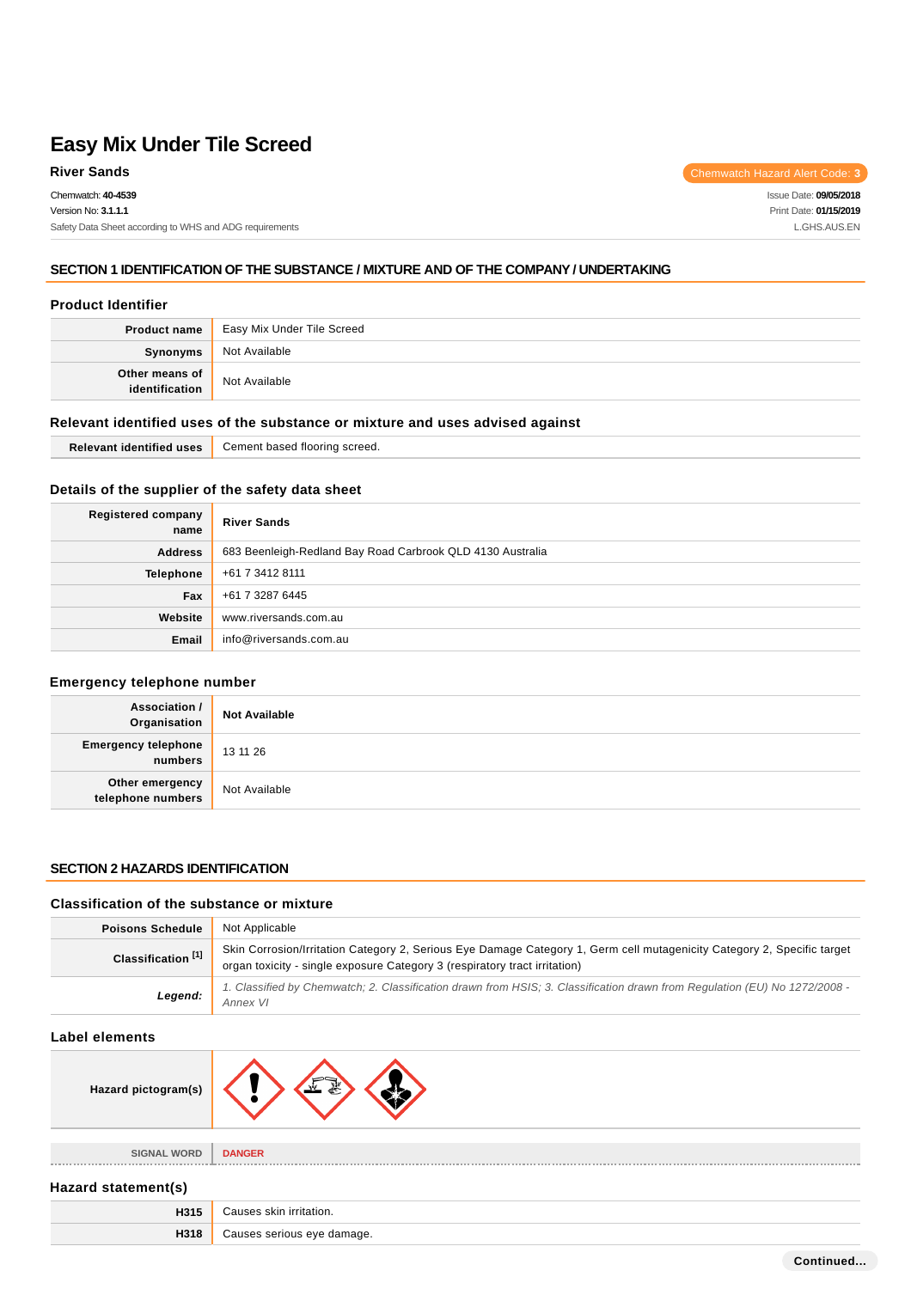**River Sands** Chemwatch Hazard Alert Code: 3

Issue Date: **09/05/2018** Print Date: **01/15/2019** L.GHS.AUS.EN

#### **SECTION 1 IDENTIFICATION OF THE SUBSTANCE / MIXTURE AND OF THE COMPANY / UNDERTAKING**

#### **Product Identifier**

|                                  | <b>Product name</b> Easy Mix Under Tile Screed |  |
|----------------------------------|------------------------------------------------|--|
| Synonyms                         | Not Available                                  |  |
| Other means of<br>identification | Not Available                                  |  |

## **Relevant identified uses of the substance or mixture and uses advised against**

| $  -$<br>identitied uses | l flooring screed.<br>Cement based |
|--------------------------|------------------------------------|
|--------------------------|------------------------------------|

#### **Details of the supplier of the safety data sheet**

| <b>Registered company</b><br>name | <b>River Sands</b>                                         |  |
|-----------------------------------|------------------------------------------------------------|--|
| <b>Address</b>                    | 683 Beenleigh-Redland Bay Road Carbrook QLD 4130 Australia |  |
| Telephone                         | +61 7 3412 8111                                            |  |
| Fax                               | +61 7 3287 6445                                            |  |
| Website                           | www.riversands.com.au                                      |  |
| Email                             | info@riversands.com.au                                     |  |

#### **Emergency telephone number**

| <b>Association /</b><br>Organisation  | <b>Not Available</b> |
|---------------------------------------|----------------------|
| <b>Emergency telephone</b><br>numbers | 13 11 26             |
| Other emergency<br>telephone numbers  | Not Available        |

#### **SECTION 2 HAZARDS IDENTIFICATION**

#### **Classification of the substance or mixture**

| <b>Poisons Schedule</b>       | Not Applicable                                                                                                                                                                                        |  |
|-------------------------------|-------------------------------------------------------------------------------------------------------------------------------------------------------------------------------------------------------|--|
| Classification <sup>[1]</sup> | Skin Corrosion/Irritation Category 2, Serious Eye Damage Category 1, Germ cell mutagenicity Category 2, Specific target<br>organ toxicity - single exposure Category 3 (respiratory tract irritation) |  |
| Legend:                       | 1. Classified by Chemwatch; 2. Classification drawn from HSIS; 3. Classification drawn from Regulation (EU) No 1272/2008 -<br>Annex VI                                                                |  |

# **Label elements**

| Hazard pictogram(s) |                            |  |
|---------------------|----------------------------|--|
| <b>SIGNAL WORD</b>  | <b>DANGER</b>              |  |
| Hazard statement(s) |                            |  |
| H315                | Causes skin irritation.    |  |
| H318                | Causes serious eye damage. |  |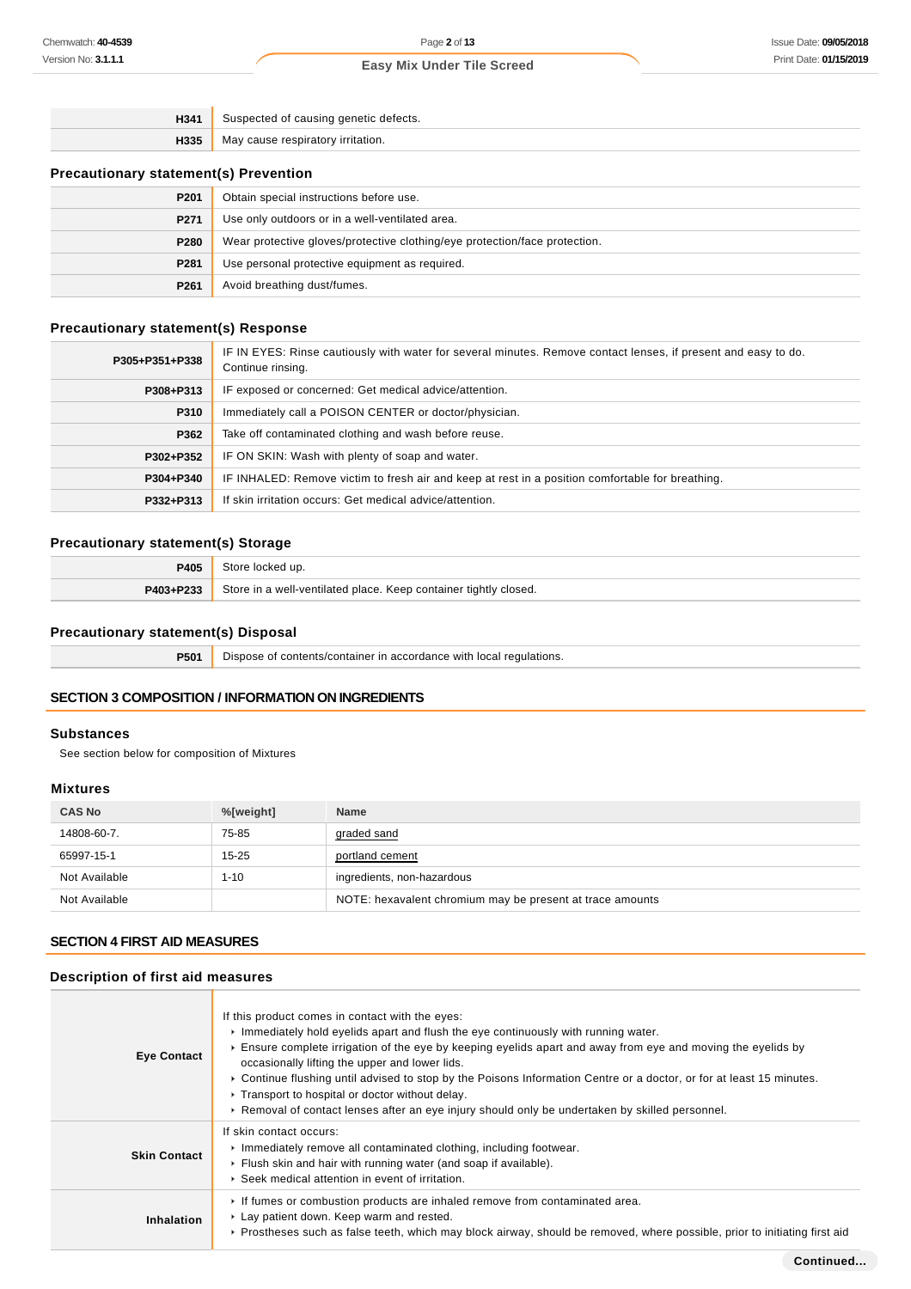| H341 | Suspected of causing genetic defects. |
|------|---------------------------------------|
| H335 | May cause respiratory irritation.     |
|      |                                       |

# **Precautionary statement(s) Prevention**

| P201             | Obtain special instructions before use.                                    |
|------------------|----------------------------------------------------------------------------|
| P271             | Use only outdoors or in a well-ventilated area.                            |
| P280             | Wear protective gloves/protective clothing/eye protection/face protection. |
| P <sub>281</sub> | Use personal protective equipment as required.                             |
| P261             | Avoid breathing dust/fumes.                                                |

# **Precautionary statement(s) Response**

| P305+P351+P338 | IF IN EYES: Rinse cautiously with water for several minutes. Remove contact lenses, if present and easy to do.<br>Continue rinsing. |  |  |  |
|----------------|-------------------------------------------------------------------------------------------------------------------------------------|--|--|--|
| P308+P313      | IF exposed or concerned: Get medical advice/attention.                                                                              |  |  |  |
| P310           | Immediately call a POISON CENTER or doctor/physician.                                                                               |  |  |  |
| P362           | Take off contaminated clothing and wash before reuse.                                                                               |  |  |  |
| P302+P352      | IF ON SKIN: Wash with plenty of soap and water.                                                                                     |  |  |  |
| P304+P340      | IF INHALED: Remove victim to fresh air and keep at rest in a position comfortable for breathing.                                    |  |  |  |
| P332+P313      | If skin irritation occurs: Get medical advice/attention.                                                                            |  |  |  |

# **Precautionary statement(s) Storage**

| P405      | Store locked up.                                                 |  |
|-----------|------------------------------------------------------------------|--|
| P403+P233 | Store in a well-ventilated place. Keep container tightly closed. |  |

# **Precautionary statement(s) Disposal**

| <b>P501</b> Dispose of contents/container in accordance with local regulations. |
|---------------------------------------------------------------------------------|
|                                                                                 |

# **SECTION 3 COMPOSITION / INFORMATION ON INGREDIENTS**

#### **Substances**

See section below for composition of Mixtures

# **Mixtures**

| <b>CAS No</b> | %[weight] | <b>Name</b>                                               |
|---------------|-----------|-----------------------------------------------------------|
| 14808-60-7.   | 75-85     | graded sand                                               |
| 65997-15-1    | $15 - 25$ | portland cement                                           |
| Not Available | $1 - 10$  | ingredients, non-hazardous                                |
| Not Available |           | NOTE: hexavalent chromium may be present at trace amounts |

#### **SECTION 4 FIRST AID MEASURES**

## **Description of first aid measures**

| <b>Eye Contact</b>  | If this product comes in contact with the eyes:<br>$\triangleright$ Immediately hold eyelids apart and flush the eye continuously with running water.<br>Ensure complete irrigation of the eye by keeping eyelids apart and away from eye and moving the eyelids by<br>occasionally lifting the upper and lower lids.<br>► Continue flushing until advised to stop by the Poisons Information Centre or a doctor, or for at least 15 minutes.<br>▶ Transport to hospital or doctor without delay.<br>► Removal of contact lenses after an eye injury should only be undertaken by skilled personnel. |
|---------------------|------------------------------------------------------------------------------------------------------------------------------------------------------------------------------------------------------------------------------------------------------------------------------------------------------------------------------------------------------------------------------------------------------------------------------------------------------------------------------------------------------------------------------------------------------------------------------------------------------|
| <b>Skin Contact</b> | If skin contact occurs:<br>Inmediately remove all contaminated clothing, including footwear.<br>Flush skin and hair with running water (and soap if available).<br>▶ Seek medical attention in event of irritation.                                                                                                                                                                                                                                                                                                                                                                                  |
| Inhalation          | If fumes or combustion products are inhaled remove from contaminated area.<br>Lay patient down. Keep warm and rested.<br>▶ Prostheses such as false teeth, which may block airway, should be removed, where possible, prior to initiating first aid                                                                                                                                                                                                                                                                                                                                                  |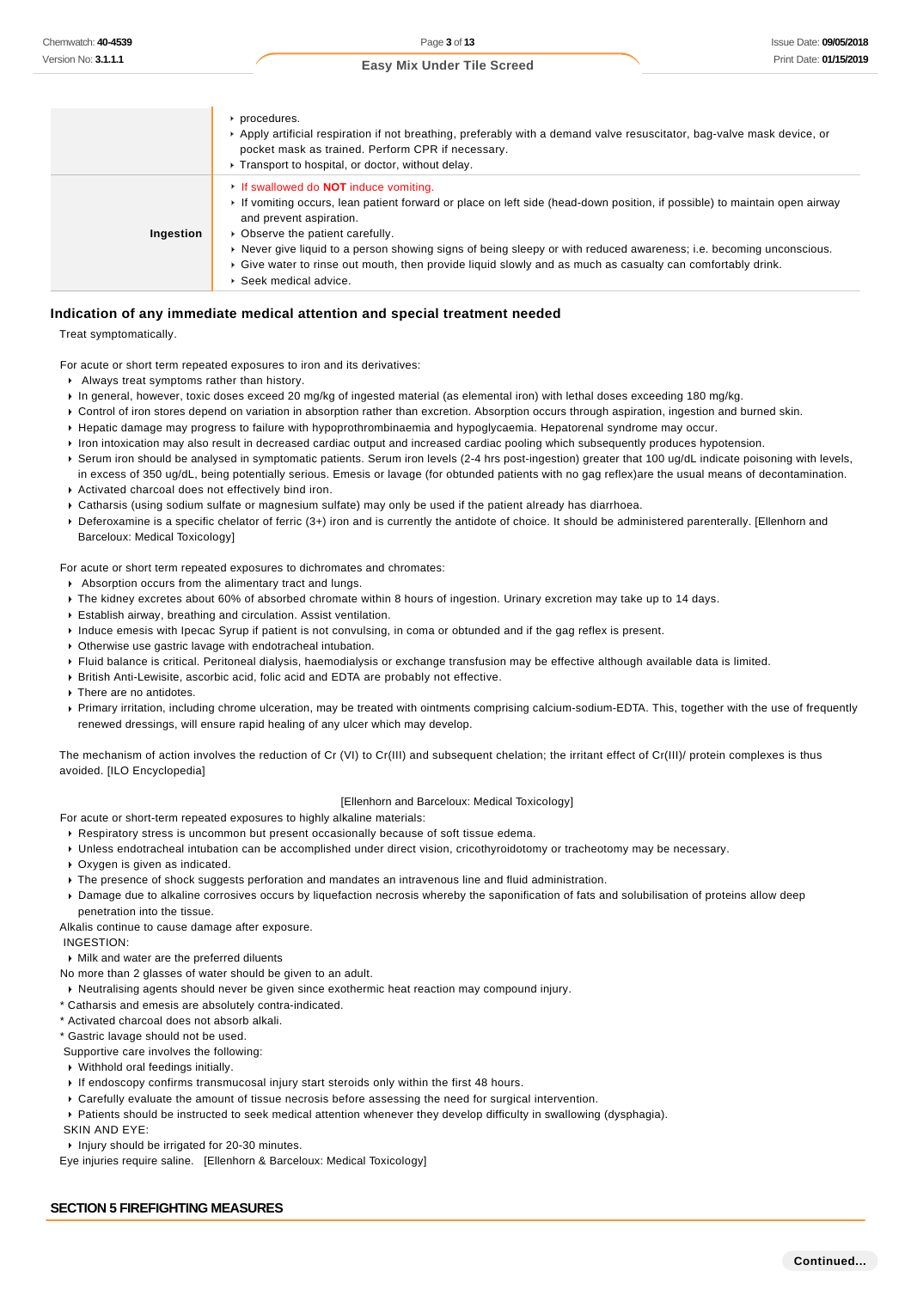|           | procedures.<br>▶ Apply artificial respiration if not breathing, preferably with a demand valve resuscitator, bag-valve mask device, or<br>pocket mask as trained. Perform CPR if necessary.<br>▶ Transport to hospital, or doctor, without delay.                                                                                                                                                                                                                                                                    |
|-----------|----------------------------------------------------------------------------------------------------------------------------------------------------------------------------------------------------------------------------------------------------------------------------------------------------------------------------------------------------------------------------------------------------------------------------------------------------------------------------------------------------------------------|
| Ingestion | If swallowed do <b>NOT</b> induce vomiting.<br>If vomiting occurs, lean patient forward or place on left side (head-down position, if possible) to maintain open airway<br>and prevent aspiration.<br>• Observe the patient carefully.<br>▶ Never give liquid to a person showing signs of being sleepy or with reduced awareness; i.e. becoming unconscious.<br>► Give water to rinse out mouth, then provide liquid slowly and as much as casualty can comfortably drink.<br>$\triangleright$ Seek medical advice. |

#### **Indication of any immediate medical attention and special treatment needed**

Treat symptomatically.

For acute or short term repeated exposures to iron and its derivatives:

- Always treat symptoms rather than history.
- In general, however, toxic doses exceed 20 mg/kg of ingested material (as elemental iron) with lethal doses exceeding 180 mg/kg.
- ▶ Control of iron stores depend on variation in absorption rather than excretion. Absorption occurs through aspiration, ingestion and burned skin.
- Hepatic damage may progress to failure with hypoprothrombinaemia and hypoglycaemia. Hepatorenal syndrome may occur.
- If iron intoxication may also result in decreased cardiac output and increased cardiac pooling which subsequently produces hypotension.
- Serum iron should be analysed in symptomatic patients. Serum iron levels (2-4 hrs post-ingestion) greater that 100 ug/dL indicate poisoning with levels, in excess of 350 ug/dL, being potentially serious. Emesis or lavage (for obtunded patients with no gag reflex)are the usual means of decontamination.
- Activated charcoal does not effectively bind iron.
- Catharsis (using sodium sulfate or magnesium sulfate) may only be used if the patient already has diarrhoea.
- ▶ Deferoxamine is a specific chelator of ferric (3+) iron and is currently the antidote of choice. It should be administered parenterally. [Ellenhorn and Barceloux: Medical Toxicology]

For acute or short term repeated exposures to dichromates and chromates:

- Absorption occurs from the alimentary tract and lungs.
- The kidney excretes about 60% of absorbed chromate within 8 hours of ingestion. Urinary excretion may take up to 14 days.
- Establish airway, breathing and circulation. Assist ventilation.
- Induce emesis with Ipecac Syrup if patient is not convulsing, in coma or obtunded and if the gag reflex is present.
- Otherwise use gastric lavage with endotracheal intubation.
- Fluid balance is critical. Peritoneal dialysis, haemodialysis or exchange transfusion may be effective although available data is limited.
- British Anti-Lewisite, ascorbic acid, folic acid and EDTA are probably not effective.
- **There are no antidotes.**
- Primary irritation, including chrome ulceration, may be treated with ointments comprising calcium-sodium-EDTA. This, together with the use of frequently renewed dressings, will ensure rapid healing of any ulcer which may develop.

The mechanism of action involves the reduction of Cr (VI) to Cr(III) and subsequent chelation; the irritant effect of Cr(III)/ protein complexes is thus avoided. [ILO Encyclopedia]

#### [Ellenhorn and Barceloux: Medical Toxicology]

For acute or short-term repeated exposures to highly alkaline materials:

- Respiratory stress is uncommon but present occasionally because of soft tissue edema.
- Unless endotracheal intubation can be accomplished under direct vision, cricothyroidotomy or tracheotomy may be necessary.
- Oxygen is given as indicated.
- The presence of shock suggests perforation and mandates an intravenous line and fluid administration.
- Damage due to alkaline corrosives occurs by liquefaction necrosis whereby the saponification of fats and solubilisation of proteins allow deep penetration into the tissue.

Alkalis continue to cause damage after exposure.

- INGESTION:
- Milk and water are the preferred diluents
- No more than 2 glasses of water should be given to an adult.
- Neutralising agents should never be given since exothermic heat reaction may compound injury.
- \* Catharsis and emesis are absolutely contra-indicated.
- \* Activated charcoal does not absorb alkali.
- \* Gastric lavage should not be used.

Supportive care involves the following:

- Withhold oral feedings initially.
- If endoscopy confirms transmucosal injury start steroids only within the first 48 hours.
- Carefully evaluate the amount of tissue necrosis before assessing the need for surgical intervention.
- Patients should be instructed to seek medical attention whenever they develop difficulty in swallowing (dysphagia).
- SKIN AND EYE:
- Injury should be irrigated for 20-30 minutes.

Eye injuries require saline. [Ellenhorn & Barceloux: Medical Toxicology]

#### **SECTION 5 FIREFIGHTING MEASURES**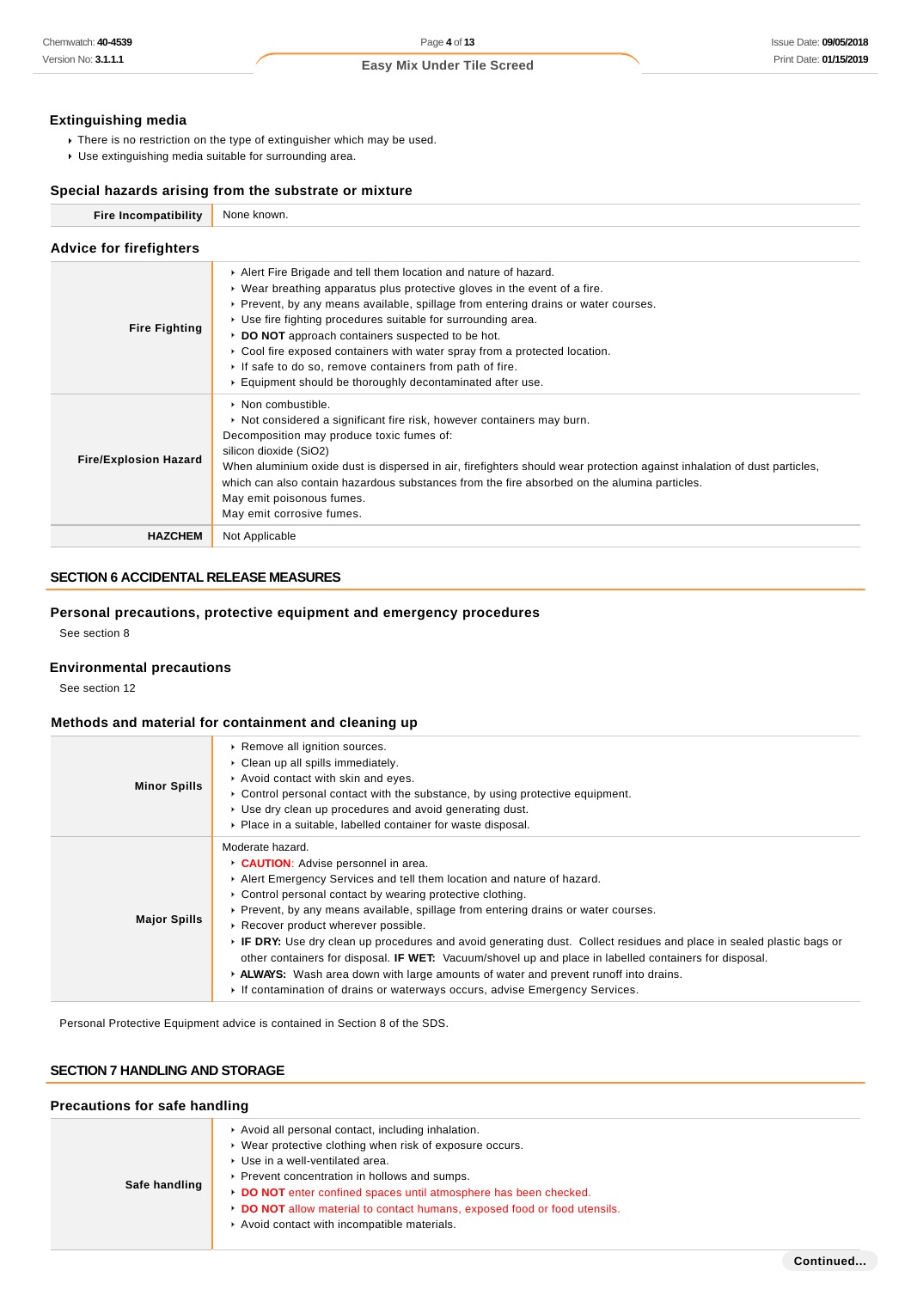#### **Extinguishing media**

- There is no restriction on the type of extinguisher which may be used.
- Use extinguishing media suitable for surrounding area.

## **Special hazards arising from the substrate or mixture**

| <b>Fire Incompatibility</b>    | None known.                                                                                                                                                                                                                                                                                                                                                                                                                                                                                                                                                                              |
|--------------------------------|------------------------------------------------------------------------------------------------------------------------------------------------------------------------------------------------------------------------------------------------------------------------------------------------------------------------------------------------------------------------------------------------------------------------------------------------------------------------------------------------------------------------------------------------------------------------------------------|
| <b>Advice for firefighters</b> |                                                                                                                                                                                                                                                                                                                                                                                                                                                                                                                                                                                          |
| <b>Fire Fighting</b>           | Alert Fire Brigade and tell them location and nature of hazard.<br>$\triangleright$ Wear breathing apparatus plus protective gloves in the event of a fire.<br>▶ Prevent, by any means available, spillage from entering drains or water courses.<br>▶ Use fire fighting procedures suitable for surrounding area.<br>DO NOT approach containers suspected to be hot.<br>$\triangleright$ Cool fire exposed containers with water spray from a protected location.<br>If safe to do so, remove containers from path of fire.<br>Equipment should be thoroughly decontaminated after use. |
| <b>Fire/Explosion Hazard</b>   | $\triangleright$ Non combustible.<br>► Not considered a significant fire risk, however containers may burn.<br>Decomposition may produce toxic fumes of:<br>silicon dioxide (SiO2)<br>When aluminium oxide dust is dispersed in air, firefighters should wear protection against inhalation of dust particles,<br>which can also contain hazardous substances from the fire absorbed on the alumina particles.<br>May emit poisonous fumes.<br>May emit corrosive fumes.                                                                                                                 |
| <b>HAZCHEM</b>                 | Not Applicable                                                                                                                                                                                                                                                                                                                                                                                                                                                                                                                                                                           |

# **SECTION 6 ACCIDENTAL RELEASE MEASURES**

# **Personal precautions, protective equipment and emergency procedures**

See section 8

## **Environmental precautions**

See section 12

## **Methods and material for containment and cleaning up**

| <b>Minor Spills</b> | Remove all ignition sources.<br>• Clean up all spills immediately.<br>Avoid contact with skin and eyes.<br>$\triangleright$ Control personal contact with the substance, by using protective equipment.<br>▶ Use dry clean up procedures and avoid generating dust.<br>• Place in a suitable, labelled container for waste disposal.                                                                                                                                                                                                                                                                                                                                                                                                               |
|---------------------|----------------------------------------------------------------------------------------------------------------------------------------------------------------------------------------------------------------------------------------------------------------------------------------------------------------------------------------------------------------------------------------------------------------------------------------------------------------------------------------------------------------------------------------------------------------------------------------------------------------------------------------------------------------------------------------------------------------------------------------------------|
| <b>Major Spills</b> | Moderate hazard.<br><b>CAUTION:</b> Advise personnel in area.<br>Alert Emergency Services and tell them location and nature of hazard.<br>• Control personal contact by wearing protective clothing.<br>► Prevent, by any means available, spillage from entering drains or water courses.<br>▶ Recover product wherever possible.<br>▶ IF DRY: Use dry clean up procedures and avoid generating dust. Collect residues and place in sealed plastic bags or<br>other containers for disposal. <b>IF WET:</b> Vacuum/shovel up and place in labelled containers for disposal.<br>► ALWAYS: Wash area down with large amounts of water and prevent runoff into drains.<br>If contamination of drains or waterways occurs, advise Emergency Services. |

Personal Protective Equipment advice is contained in Section 8 of the SDS.

# **SECTION 7 HANDLING AND STORAGE**

#### **Precautions for safe handling**

| Safe handling | Avoid all personal contact, including inhalation.<br>▶ Wear protective clothing when risk of exposure occurs.<br>Use in a well-ventilated area.<br>▶ Prevent concentration in hollows and sumps.<br>DO NOT enter confined spaces until atmosphere has been checked.<br>DO NOT allow material to contact humans, exposed food or food utensils.<br>Avoid contact with incompatible materials. |
|---------------|----------------------------------------------------------------------------------------------------------------------------------------------------------------------------------------------------------------------------------------------------------------------------------------------------------------------------------------------------------------------------------------------|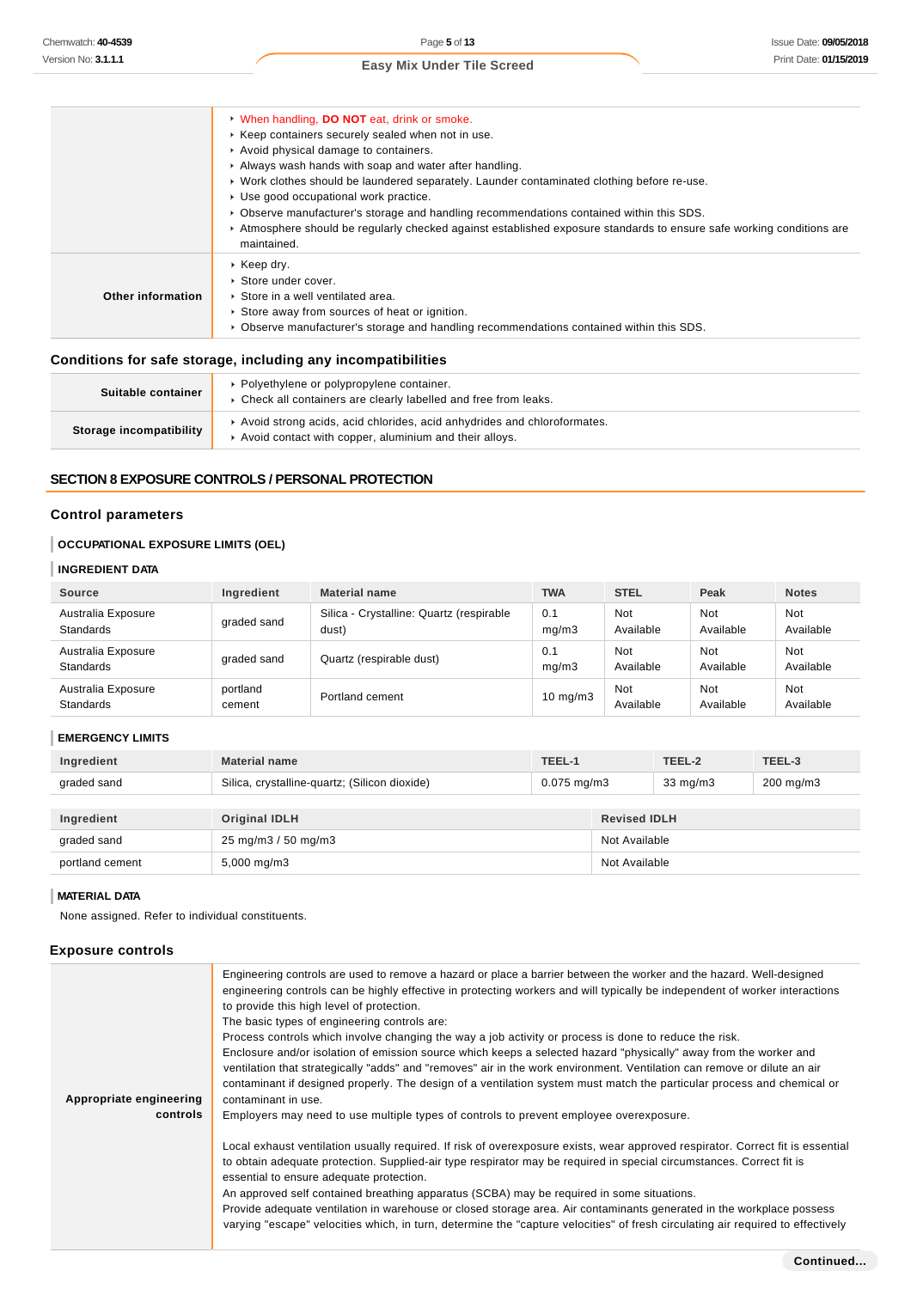|                   | • When handling, DO NOT eat, drink or smoke.                                                                                         |
|-------------------|--------------------------------------------------------------------------------------------------------------------------------------|
|                   | ▶ Keep containers securely sealed when not in use.                                                                                   |
|                   | Avoid physical damage to containers.                                                                                                 |
|                   | Always wash hands with soap and water after handling.                                                                                |
|                   | ▶ Work clothes should be laundered separately. Launder contaminated clothing before re-use.                                          |
|                   | ▶ Use good occupational work practice.                                                                                               |
|                   | ► Observe manufacturer's storage and handling recommendations contained within this SDS.                                             |
|                   | ▶ Atmosphere should be regularly checked against established exposure standards to ensure safe working conditions are<br>maintained. |
|                   | $\triangleright$ Keep dry.                                                                                                           |
|                   | ▶ Store under cover.                                                                                                                 |
| Other information | Store in a well ventilated area.                                                                                                     |
|                   | Store away from sources of heat or ignition.                                                                                         |
|                   | ► Observe manufacturer's storage and handling recommendations contained within this SDS.                                             |
|                   |                                                                                                                                      |

#### **Conditions for safe storage, including any incompatibilities**

| Suitable container      | Polyethylene or polypropylene container.<br>• Check all containers are clearly labelled and free from leaks.                      |
|-------------------------|-----------------------------------------------------------------------------------------------------------------------------------|
| Storage incompatibility | Avoid strong acids, acid chlorides, acid anhydrides and chloroformates.<br>Avoid contact with copper, aluminium and their alloys. |

# **SECTION 8 EXPOSURE CONTROLS / PERSONAL PROTECTION**

#### **Control parameters**

# **OCCUPATIONAL EXPOSURE LIMITS (OEL)**

# **INGREDIENT DATA**

| Source                                 | Ingredient         | <b>Material name</b>                              | <b>TWA</b>    | <b>STEL</b>             | Peak                    | <b>Notes</b>     |
|----------------------------------------|--------------------|---------------------------------------------------|---------------|-------------------------|-------------------------|------------------|
| Australia Exposure<br><b>Standards</b> | graded sand        | Silica - Crystalline: Quartz (respirable<br>dust) | 0.1<br>mq/m3  | Not<br>Available        | <b>Not</b><br>Available | Not<br>Available |
| Australia Exposure<br>Standards        | graded sand        | Quartz (respirable dust)                          | 0.1<br>mq/m3  | <b>Not</b><br>Available | <b>Not</b><br>Available | Not<br>Available |
| Australia Exposure<br>Standards        | portland<br>cement | Portland cement                                   | $10$ mg/m $3$ | Not<br>Available        | Not<br>Available        | Not<br>Available |

#### **EMERGENCY LIMITS**

| Ingredient      | <b>Material name</b>                          | TEEL-1           |                     | TEEL-2            | TEEL-3         |
|-----------------|-----------------------------------------------|------------------|---------------------|-------------------|----------------|
| graded sand     | Silica, crystalline-quartz; (Silicon dioxide) | $0.075$ mg/m $3$ |                     | $33 \text{ mg/m}$ | $200$ mg/m $3$ |
|                 |                                               |                  |                     |                   |                |
| Ingredient      | <b>Original IDLH</b>                          |                  | <b>Revised IDLH</b> |                   |                |
| graded sand     | 25 mg/m3 / 50 mg/m3                           |                  | Not Available       |                   |                |
| portland cement | $5,000 \,\mathrm{mg/m3}$                      |                  | Not Available       |                   |                |

## **MATERIAL DATA**

None assigned. Refer to individual constituents.

## **Exposure controls**

| Appropriate engineering<br>controls | Engineering controls are used to remove a hazard or place a barrier between the worker and the hazard. Well-designed<br>engineering controls can be highly effective in protecting workers and will typically be independent of worker interactions<br>to provide this high level of protection.<br>The basic types of engineering controls are:<br>Process controls which involve changing the way a job activity or process is done to reduce the risk.<br>Enclosure and/or isolation of emission source which keeps a selected hazard "physically" away from the worker and<br>ventilation that strategically "adds" and "removes" air in the work environment. Ventilation can remove or dilute an air<br>contaminant if designed properly. The design of a ventilation system must match the particular process and chemical or<br>contaminant in use.<br>Employers may need to use multiple types of controls to prevent employee overexposure. |
|-------------------------------------|-------------------------------------------------------------------------------------------------------------------------------------------------------------------------------------------------------------------------------------------------------------------------------------------------------------------------------------------------------------------------------------------------------------------------------------------------------------------------------------------------------------------------------------------------------------------------------------------------------------------------------------------------------------------------------------------------------------------------------------------------------------------------------------------------------------------------------------------------------------------------------------------------------------------------------------------------------|
|                                     | Local exhaust ventilation usually required. If risk of overexposure exists, wear approved respirator. Correct fit is essential<br>to obtain adequate protection. Supplied-air type respirator may be required in special circumstances. Correct fit is<br>essential to ensure adequate protection.<br>An approved self contained breathing apparatus (SCBA) may be required in some situations.<br>Provide adequate ventilation in warehouse or closed storage area. Air contaminants generated in the workplace possess<br>varying "escape" velocities which, in turn, determine the "capture velocities" of fresh circulating air required to effectively                                                                                                                                                                                                                                                                                           |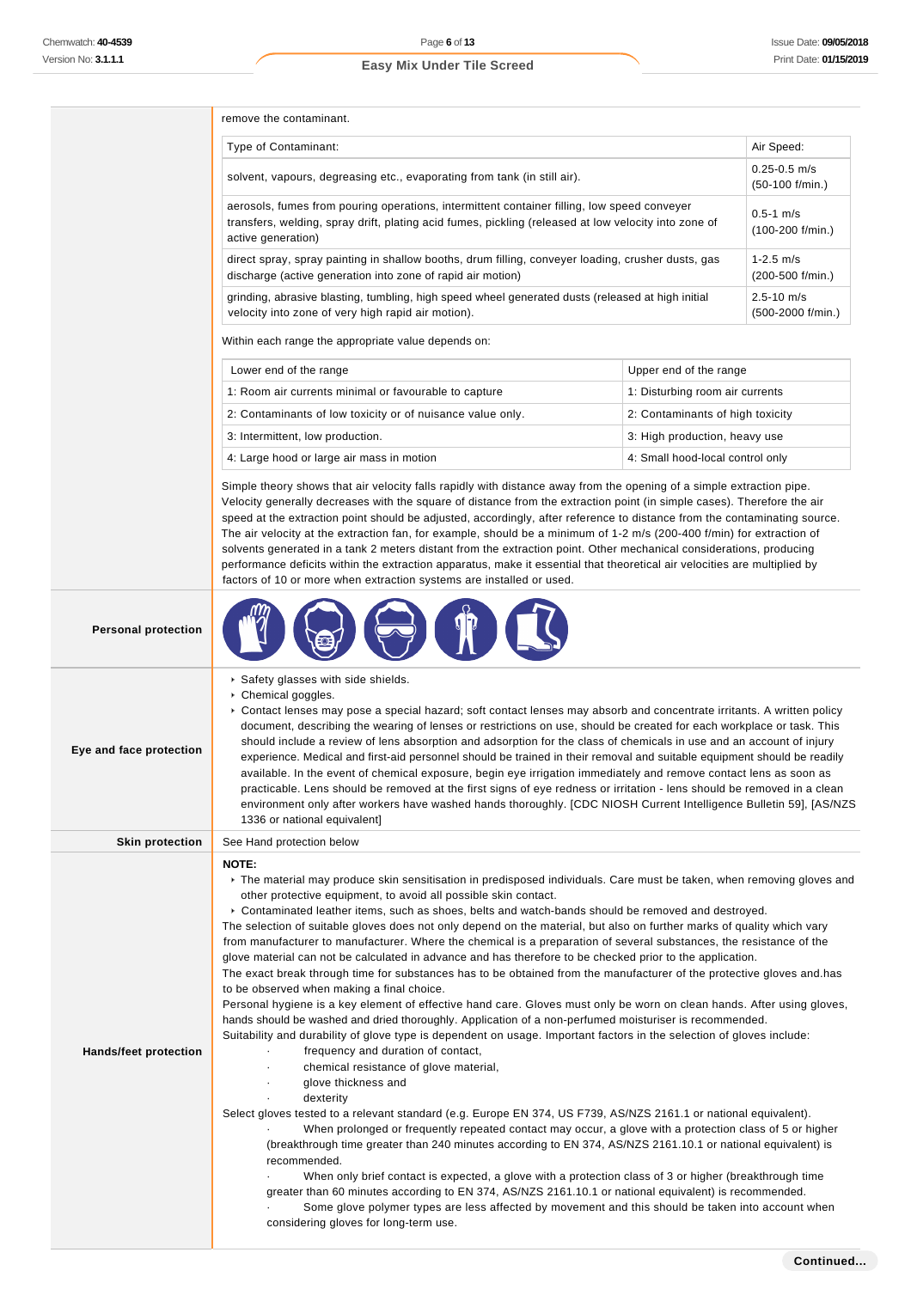|  | remove the contaminant. |
|--|-------------------------|
|  |                         |

| Type of Contaminant:                                                                                                                                                                                                      | Air Speed:                             |
|---------------------------------------------------------------------------------------------------------------------------------------------------------------------------------------------------------------------------|----------------------------------------|
| solvent, vapours, degreasing etc., evaporating from tank (in still air).                                                                                                                                                  | $0.25 - 0.5$ m/s<br>$(50-100)$ f/min.) |
| aerosols, fumes from pouring operations, intermittent container filling, low speed conveyer<br>transfers, welding, spray drift, plating acid fumes, pickling (released at low velocity into zone of<br>active generation) | $0.5 - 1$ m/s<br>$(100-200$ f/min.)    |
| direct spray, spray painting in shallow booths, drum filling, conveyer loading, crusher dusts, gas<br>discharge (active generation into zone of rapid air motion)                                                         | $1 - 2.5$ m/s<br>$(200-500 f/min.)$    |
| grinding, abrasive blasting, tumbling, high speed wheel generated dusts (released at high initial<br>velocity into zone of very high rapid air motion).                                                                   | $2.5 - 10$ m/s<br>(500-2000 f/min.)    |

Within each range the appropriate value depends on:

| Lower end of the range                                     | Upper end of the range           |
|------------------------------------------------------------|----------------------------------|
| 1: Room air currents minimal or favourable to capture      | 1: Disturbing room air currents  |
| 2: Contaminants of low toxicity or of nuisance value only. | 2: Contaminants of high toxicity |
| 3: Intermittent, low production.                           | 3: High production, heavy use    |
| 4: Large hood or large air mass in motion                  | 4: Small hood-local control only |

Simple theory shows that air velocity falls rapidly with distance away from the opening of a simple extraction pipe. Velocity generally decreases with the square of distance from the extraction point (in simple cases). Therefore the air speed at the extraction point should be adjusted, accordingly, after reference to distance from the contaminating source. The air velocity at the extraction fan, for example, should be a minimum of 1-2 m/s (200-400 f/min) for extraction of solvents generated in a tank 2 meters distant from the extraction point. Other mechanical considerations, producing performance deficits within the extraction apparatus, make it essential that theoretical air velocities are multiplied by factors of 10 or more when extraction systems are installed or used.



| Eye and face protection | Safety glasses with side shields.<br>Chemical goggles.<br>► Contact lenses may pose a special hazard; soft contact lenses may absorb and concentrate irritants. A written policy<br>document, describing the wearing of lenses or restrictions on use, should be created for each workplace or task. This<br>should include a review of lens absorption and adsorption for the class of chemicals in use and an account of injury<br>experience. Medical and first-aid personnel should be trained in their removal and suitable equipment should be readily<br>available. In the event of chemical exposure, begin eye irrigation immediately and remove contact lens as soon as<br>practicable. Lens should be removed at the first signs of eye redness or irritation - lens should be removed in a clean<br>environment only after workers have washed hands thoroughly. [CDC NIOSH Current Intelligence Bulletin 59], [AS/NZS<br>1336 or national equivalent]                                                                                                                                                                                                                                                                                                                                                                                                                                                                                                                                                                                                                                                                                                                                                                                                                                                                                                                                                                                                                                                                                              |
|-------------------------|-----------------------------------------------------------------------------------------------------------------------------------------------------------------------------------------------------------------------------------------------------------------------------------------------------------------------------------------------------------------------------------------------------------------------------------------------------------------------------------------------------------------------------------------------------------------------------------------------------------------------------------------------------------------------------------------------------------------------------------------------------------------------------------------------------------------------------------------------------------------------------------------------------------------------------------------------------------------------------------------------------------------------------------------------------------------------------------------------------------------------------------------------------------------------------------------------------------------------------------------------------------------------------------------------------------------------------------------------------------------------------------------------------------------------------------------------------------------------------------------------------------------------------------------------------------------------------------------------------------------------------------------------------------------------------------------------------------------------------------------------------------------------------------------------------------------------------------------------------------------------------------------------------------------------------------------------------------------------------------------------------------------------------------------------------------------|
| <b>Skin protection</b>  | See Hand protection below                                                                                                                                                                                                                                                                                                                                                                                                                                                                                                                                                                                                                                                                                                                                                                                                                                                                                                                                                                                                                                                                                                                                                                                                                                                                                                                                                                                                                                                                                                                                                                                                                                                                                                                                                                                                                                                                                                                                                                                                                                       |
| Hands/feet protection   | NOTE:<br>▶ The material may produce skin sensitisation in predisposed individuals. Care must be taken, when removing gloves and<br>other protective equipment, to avoid all possible skin contact.<br>▶ Contaminated leather items, such as shoes, belts and watch-bands should be removed and destroyed.<br>The selection of suitable gloves does not only depend on the material, but also on further marks of quality which vary<br>from manufacturer to manufacturer. Where the chemical is a preparation of several substances, the resistance of the<br>glove material can not be calculated in advance and has therefore to be checked prior to the application.<br>The exact break through time for substances has to be obtained from the manufacturer of the protective gloves and has<br>to be observed when making a final choice.<br>Personal hygiene is a key element of effective hand care. Gloves must only be worn on clean hands. After using gloves,<br>hands should be washed and dried thoroughly. Application of a non-perfumed moisturiser is recommended.<br>Suitability and durability of glove type is dependent on usage. Important factors in the selection of gloves include:<br>frequency and duration of contact,<br>chemical resistance of glove material,<br>glove thickness and<br>dexterity<br>Select gloves tested to a relevant standard (e.g. Europe EN 374, US F739, AS/NZS 2161.1 or national equivalent).<br>When prolonged or frequently repeated contact may occur, a glove with a protection class of 5 or higher<br>(breakthrough time greater than 240 minutes according to EN 374, AS/NZS 2161.10.1 or national equivalent) is<br>recommended.<br>When only brief contact is expected, a glove with a protection class of 3 or higher (breakthrough time<br>greater than 60 minutes according to EN 374, AS/NZS 2161.10.1 or national equivalent) is recommended.<br>Some glove polymer types are less affected by movement and this should be taken into account when<br>considering gloves for long-term use. |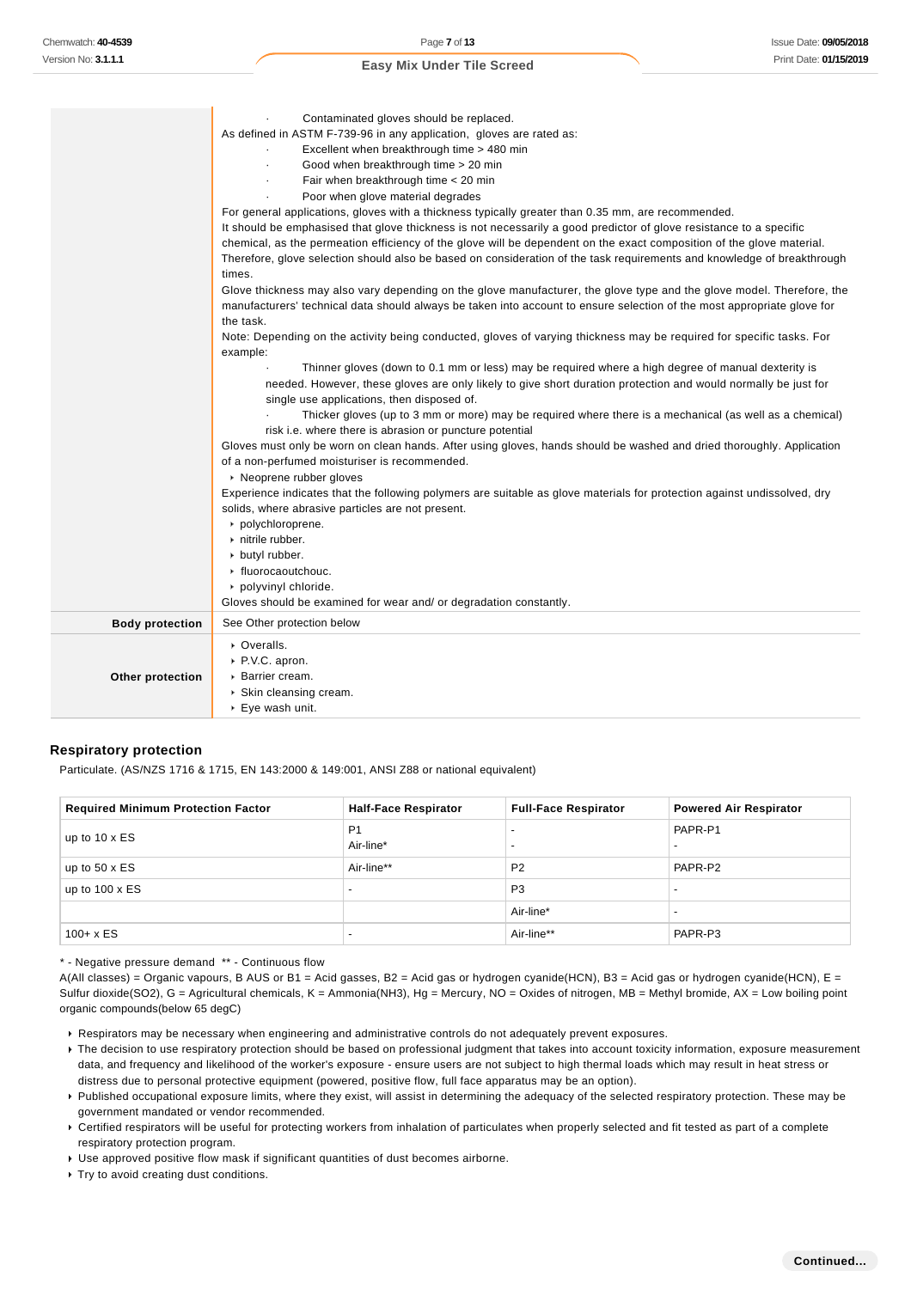|                        | Contaminated gloves should be replaced.                                                                                  |
|------------------------|--------------------------------------------------------------------------------------------------------------------------|
|                        | As defined in ASTM F-739-96 in any application, gloves are rated as:                                                     |
|                        | Excellent when breakthrough time > 480 min                                                                               |
|                        | Good when breakthrough time > 20 min                                                                                     |
|                        | Fair when breakthrough time < 20 min                                                                                     |
|                        | Poor when glove material degrades                                                                                        |
|                        | For general applications, gloves with a thickness typically greater than 0.35 mm, are recommended.                       |
|                        | It should be emphasised that glove thickness is not necessarily a good predictor of glove resistance to a specific       |
|                        | chemical, as the permeation efficiency of the glove will be dependent on the exact composition of the glove material.    |
|                        | Therefore, glove selection should also be based on consideration of the task requirements and knowledge of breakthrough  |
|                        | times.                                                                                                                   |
|                        | Glove thickness may also vary depending on the glove manufacturer, the glove type and the glove model. Therefore, the    |
|                        | manufacturers' technical data should always be taken into account to ensure selection of the most appropriate glove for  |
|                        | the task.                                                                                                                |
|                        | Note: Depending on the activity being conducted, gloves of varying thickness may be required for specific tasks. For     |
|                        | example:                                                                                                                 |
|                        | Thinner gloves (down to 0.1 mm or less) may be required where a high degree of manual dexterity is                       |
|                        | needed. However, these gloves are only likely to give short duration protection and would normally be just for           |
|                        | single use applications, then disposed of.                                                                               |
|                        | Thicker gloves (up to 3 mm or more) may be required where there is a mechanical (as well as a chemical)                  |
|                        | risk i.e. where there is abrasion or puncture potential                                                                  |
|                        | Gloves must only be worn on clean hands. After using gloves, hands should be washed and dried thoroughly. Application    |
|                        | of a non-perfumed moisturiser is recommended.                                                                            |
|                        | ▶ Neoprene rubber gloves                                                                                                 |
|                        | Experience indicates that the following polymers are suitable as glove materials for protection against undissolved, dry |
|                        | solids, where abrasive particles are not present.                                                                        |
|                        | polychloroprene.                                                                                                         |
|                        | $\triangleright$ nitrile rubber.                                                                                         |
|                        | butyl rubber.                                                                                                            |
|                        | ▶ fluorocaoutchouc.                                                                                                      |
|                        | polyvinyl chloride.                                                                                                      |
|                        | Gloves should be examined for wear and/ or degradation constantly.                                                       |
| <b>Body protection</b> | See Other protection below                                                                                               |
|                        | • Overalls.                                                                                                              |
|                        | P.V.C. apron.                                                                                                            |
|                        | ▶ Barrier cream.                                                                                                         |
| Other protection       |                                                                                                                          |
|                        | $\triangleright$ Skin cleansing cream.<br>$\triangleright$ Eye wash unit.                                                |
|                        |                                                                                                                          |

#### **Respiratory protection**

Particulate. (AS/NZS 1716 & 1715, EN 143:2000 & 149:001, ANSI Z88 or national equivalent)

| <b>Required Minimum Protection Factor</b> | <b>Half-Face Respirator</b> | <b>Full-Face Respirator</b>                          | <b>Powered Air Respirator</b> |
|-------------------------------------------|-----------------------------|------------------------------------------------------|-------------------------------|
| up to $10 \times ES$                      | P <sub>1</sub><br>Air-line* | $\overline{\phantom{0}}$<br>$\overline{\phantom{0}}$ | PAPR-P1                       |
| up to $50 \times ES$                      | Air-line**                  | P <sub>2</sub>                                       | PAPR-P2                       |
| up to $100 \times ES$                     | $\overline{\phantom{0}}$    | P <sub>3</sub>                                       |                               |
|                                           |                             | Air-line*                                            |                               |
| $100 + x ES$                              | $\overline{\phantom{0}}$    | Air-line**                                           | PAPR-P3                       |

\* - Negative pressure demand \*\* - Continuous flow

A(All classes) = Organic vapours, B AUS or B1 = Acid gasses, B2 = Acid gas or hydrogen cyanide(HCN), B3 = Acid gas or hydrogen cyanide(HCN), E = Sulfur dioxide(SO2), G = Agricultural chemicals, K = Ammonia(NH3), Hg = Mercury, NO = Oxides of nitrogen, MB = Methyl bromide, AX = Low boiling point organic compounds(below 65 degC)

- Respirators may be necessary when engineering and administrative controls do not adequately prevent exposures.
- ▶ The decision to use respiratory protection should be based on professional judgment that takes into account toxicity information, exposure measurement data, and frequency and likelihood of the worker's exposure - ensure users are not subject to high thermal loads which may result in heat stress or distress due to personal protective equipment (powered, positive flow, full face apparatus may be an option).
- Published occupational exposure limits, where they exist, will assist in determining the adequacy of the selected respiratory protection. These may be government mandated or vendor recommended.
- Certified respirators will be useful for protecting workers from inhalation of particulates when properly selected and fit tested as part of a complete respiratory protection program.
- Use approved positive flow mask if significant quantities of dust becomes airborne.
- Try to avoid creating dust conditions.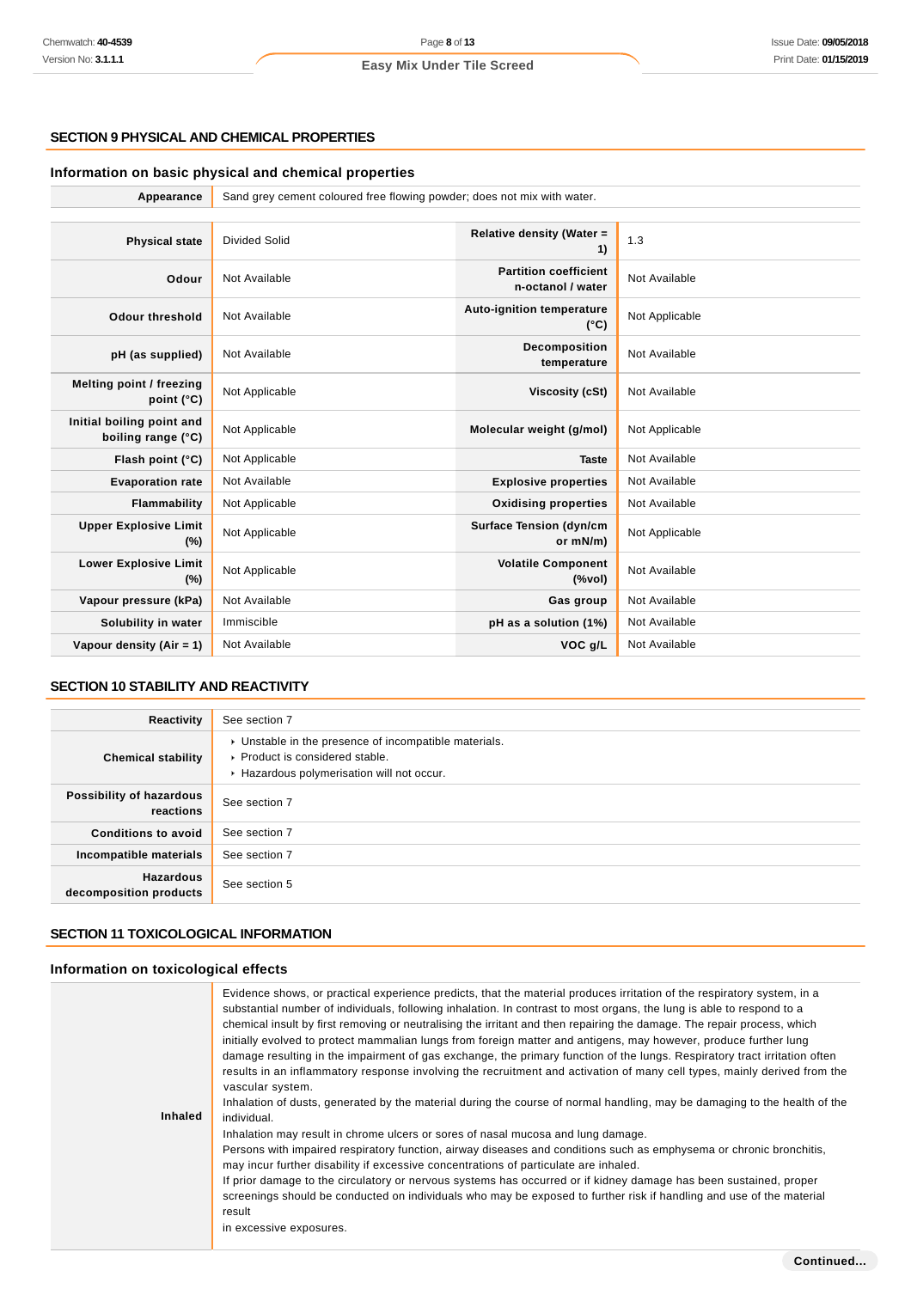# **SECTION 9 PHYSICAL AND CHEMICAL PROPERTIES**

# **Information on basic physical and chemical properties**

| Appearance                                      | Sand grey cement coloured free flowing powder; does not mix with water. |                                                                                    |                |
|-------------------------------------------------|-------------------------------------------------------------------------|------------------------------------------------------------------------------------|----------------|
|                                                 |                                                                         |                                                                                    |                |
| <b>Physical state</b>                           | Divided Solid                                                           | Relative density (Water =<br>1)                                                    | 1.3            |
| Odour                                           | Not Available                                                           | <b>Partition coefficient</b><br>n-octanol / water                                  | Not Available  |
| <b>Odour threshold</b>                          | Not Available                                                           | <b>Auto-ignition temperature</b><br>$(^{\circ}C)$                                  | Not Applicable |
| pH (as supplied)                                | Not Available                                                           | Decomposition<br>temperature                                                       | Not Available  |
| Melting point / freezing<br>point $(^{\circ}C)$ | Not Applicable                                                          | <b>Viscosity (cSt)</b>                                                             | Not Available  |
| Initial boiling point and<br>boiling range (°C) | Not Applicable                                                          | Molecular weight (g/mol)                                                           | Not Applicable |
| Flash point (°C)                                | Not Applicable                                                          | <b>Taste</b>                                                                       | Not Available  |
| <b>Evaporation rate</b>                         | Not Available                                                           | <b>Explosive properties</b>                                                        | Not Available  |
| Flammability                                    | Not Applicable                                                          | <b>Oxidising properties</b>                                                        | Not Available  |
| <b>Upper Explosive Limit</b><br>$(\%)$          | Not Applicable                                                          | <b>Surface Tension (dyn/cm</b><br>or mN/m)                                         | Not Applicable |
| <b>Lower Explosive Limit</b><br>$(\%)$          | Not Applicable                                                          | <b>Volatile Component</b><br>$(% \mathcal{L}^{\prime }\cap \mathcal{L}^{\prime })$ | Not Available  |
| Vapour pressure (kPa)                           | Not Available                                                           | Gas group                                                                          | Not Available  |
| Solubility in water                             | Immiscible                                                              | pH as a solution (1%)                                                              | Not Available  |
| Vapour density $(Air = 1)$                      | Not Available                                                           | VOC g/L                                                                            | Not Available  |

# **SECTION 10 STABILITY AND REACTIVITY**

| Reactivity                                 | See section 7                                                                                                                          |
|--------------------------------------------|----------------------------------------------------------------------------------------------------------------------------------------|
| <b>Chemical stability</b>                  | • Unstable in the presence of incompatible materials.<br>▶ Product is considered stable.<br>▶ Hazardous polymerisation will not occur. |
| Possibility of hazardous<br>reactions      | See section 7                                                                                                                          |
| <b>Conditions to avoid</b>                 | See section 7                                                                                                                          |
| Incompatible materials                     | See section 7                                                                                                                          |
| <b>Hazardous</b><br>decomposition products | See section 5                                                                                                                          |

# **SECTION 11 TOXICOLOGICAL INFORMATION**

#### **Information on toxicological effects**

| Inhaled | Evidence shows, or practical experience predicts, that the material produces irritation of the respiratory system, in a<br>substantial number of individuals, following inhalation. In contrast to most organs, the lung is able to respond to a<br>chemical insult by first removing or neutralising the irritant and then repairing the damage. The repair process, which<br>initially evolved to protect mammalian lungs from foreign matter and antigens, may however, produce further lung<br>damage resulting in the impairment of gas exchange, the primary function of the lungs. Respiratory tract irritation often<br>results in an inflammatory response involving the recruitment and activation of many cell types, mainly derived from the<br>vascular system.<br>Inhalation of dusts, generated by the material during the course of normal handling, may be damaging to the health of the<br>individual.<br>Inhalation may result in chrome ulcers or sores of nasal mucosa and lung damage.<br>Persons with impaired respiratory function, airway diseases and conditions such as emphysema or chronic bronchitis,<br>may incur further disability if excessive concentrations of particulate are inhaled.<br>If prior damage to the circulatory or nervous systems has occurred or if kidney damage has been sustained, proper<br>screenings should be conducted on individuals who may be exposed to further risk if handling and use of the material<br>result<br>in excessive exposures. |
|---------|---------------------------------------------------------------------------------------------------------------------------------------------------------------------------------------------------------------------------------------------------------------------------------------------------------------------------------------------------------------------------------------------------------------------------------------------------------------------------------------------------------------------------------------------------------------------------------------------------------------------------------------------------------------------------------------------------------------------------------------------------------------------------------------------------------------------------------------------------------------------------------------------------------------------------------------------------------------------------------------------------------------------------------------------------------------------------------------------------------------------------------------------------------------------------------------------------------------------------------------------------------------------------------------------------------------------------------------------------------------------------------------------------------------------------------------------------------------------------------------------------------------|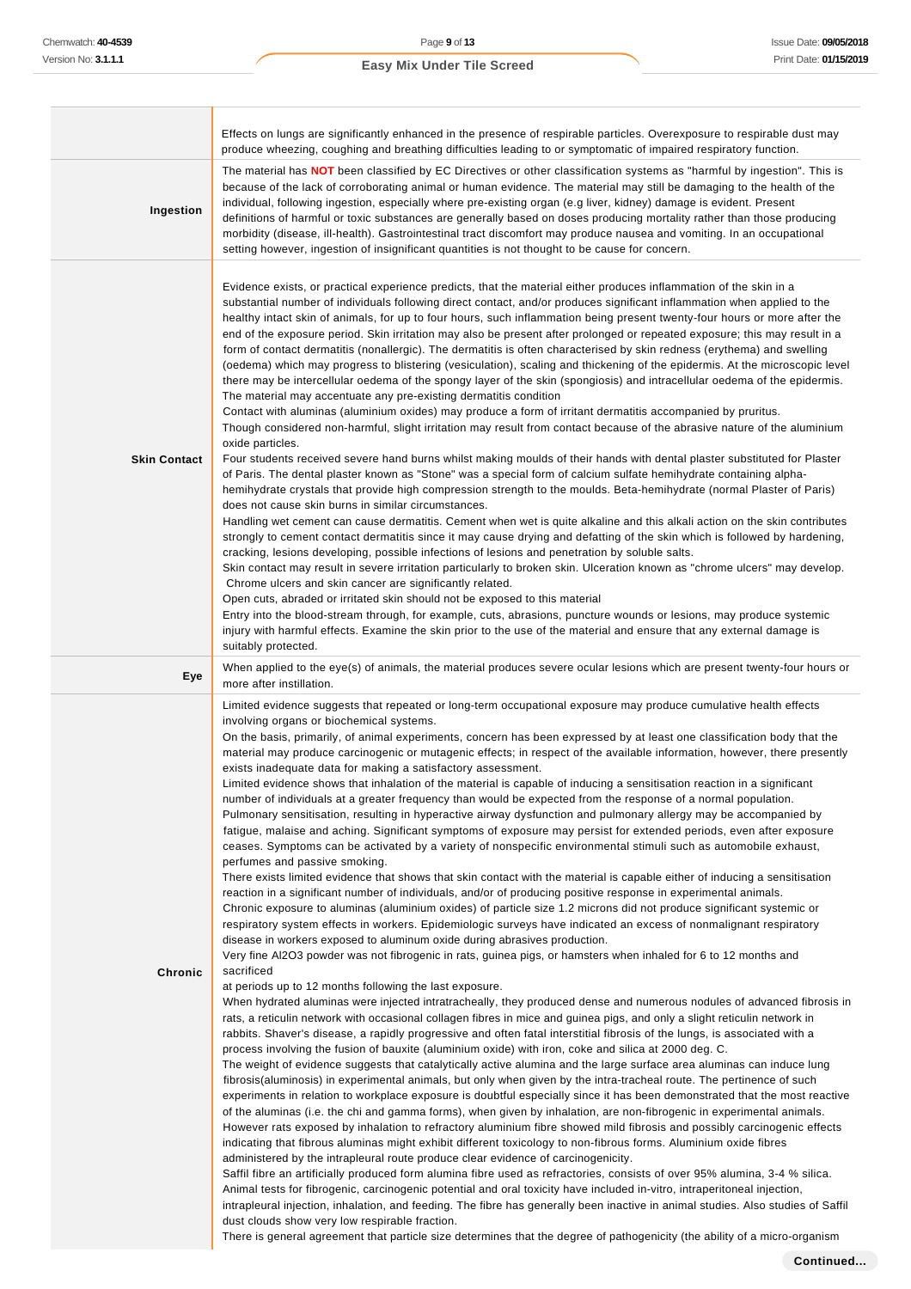h

## **Easy Mix Under Tile Screed**

|                     | Effects on lungs are significantly enhanced in the presence of respirable particles. Overexposure to respirable dust may<br>produce wheezing, coughing and breathing difficulties leading to or symptomatic of impaired respiratory function.                                                                                                                                                                                                                                                                                                                                                                                                                                                                                                                                                                                                                                                                                                                                                                                                                                                                                                                                                                                                                                                                                                                                                                                                                                                                                                                                                                                                                                                                                                                                                                                                                                                                                                                                                                                                                                                                                                                                                                                                                                                                                                                                                                                                                                                                                                                                                                                                                                                                                                                                                                                                                                                                                                                                                                                                                                                                                                                                                                                                                                                                                                                                                                                                                                                                                                                                                                                                                                                                                                                                                                                 |
|---------------------|-------------------------------------------------------------------------------------------------------------------------------------------------------------------------------------------------------------------------------------------------------------------------------------------------------------------------------------------------------------------------------------------------------------------------------------------------------------------------------------------------------------------------------------------------------------------------------------------------------------------------------------------------------------------------------------------------------------------------------------------------------------------------------------------------------------------------------------------------------------------------------------------------------------------------------------------------------------------------------------------------------------------------------------------------------------------------------------------------------------------------------------------------------------------------------------------------------------------------------------------------------------------------------------------------------------------------------------------------------------------------------------------------------------------------------------------------------------------------------------------------------------------------------------------------------------------------------------------------------------------------------------------------------------------------------------------------------------------------------------------------------------------------------------------------------------------------------------------------------------------------------------------------------------------------------------------------------------------------------------------------------------------------------------------------------------------------------------------------------------------------------------------------------------------------------------------------------------------------------------------------------------------------------------------------------------------------------------------------------------------------------------------------------------------------------------------------------------------------------------------------------------------------------------------------------------------------------------------------------------------------------------------------------------------------------------------------------------------------------------------------------------------------------------------------------------------------------------------------------------------------------------------------------------------------------------------------------------------------------------------------------------------------------------------------------------------------------------------------------------------------------------------------------------------------------------------------------------------------------------------------------------------------------------------------------------------------------------------------------------------------------------------------------------------------------------------------------------------------------------------------------------------------------------------------------------------------------------------------------------------------------------------------------------------------------------------------------------------------------------------------------------------------------------------------------------------------------|
| Ingestion           | The material has NOT been classified by EC Directives or other classification systems as "harmful by ingestion". This is<br>because of the lack of corroborating animal or human evidence. The material may still be damaging to the health of the<br>individual, following ingestion, especially where pre-existing organ (e.g liver, kidney) damage is evident. Present<br>definitions of harmful or toxic substances are generally based on doses producing mortality rather than those producing<br>morbidity (disease, ill-health). Gastrointestinal tract discomfort may produce nausea and vomiting. In an occupational<br>setting however, ingestion of insignificant quantities is not thought to be cause for concern.                                                                                                                                                                                                                                                                                                                                                                                                                                                                                                                                                                                                                                                                                                                                                                                                                                                                                                                                                                                                                                                                                                                                                                                                                                                                                                                                                                                                                                                                                                                                                                                                                                                                                                                                                                                                                                                                                                                                                                                                                                                                                                                                                                                                                                                                                                                                                                                                                                                                                                                                                                                                                                                                                                                                                                                                                                                                                                                                                                                                                                                                                              |
| <b>Skin Contact</b> | Evidence exists, or practical experience predicts, that the material either produces inflammation of the skin in a<br>substantial number of individuals following direct contact, and/or produces significant inflammation when applied to the<br>healthy intact skin of animals, for up to four hours, such inflammation being present twenty-four hours or more after the<br>end of the exposure period. Skin irritation may also be present after prolonged or repeated exposure; this may result in a<br>form of contact dermatitis (nonallergic). The dermatitis is often characterised by skin redness (erythema) and swelling<br>(oedema) which may progress to blistering (vesiculation), scaling and thickening of the epidermis. At the microscopic level<br>there may be intercellular oedema of the spongy layer of the skin (spongiosis) and intracellular oedema of the epidermis.<br>The material may accentuate any pre-existing dermatitis condition<br>Contact with aluminas (aluminium oxides) may produce a form of irritant dermatitis accompanied by pruritus.<br>Though considered non-harmful, slight irritation may result from contact because of the abrasive nature of the aluminium<br>oxide particles.<br>Four students received severe hand burns whilst making moulds of their hands with dental plaster substituted for Plaster<br>of Paris. The dental plaster known as "Stone" was a special form of calcium sulfate hemihydrate containing alpha-<br>hemihydrate crystals that provide high compression strength to the moulds. Beta-hemihydrate (normal Plaster of Paris)<br>does not cause skin burns in similar circumstances.<br>Handling wet cement can cause dermatitis. Cement when wet is quite alkaline and this alkali action on the skin contributes<br>strongly to cement contact dermatitis since it may cause drying and defatting of the skin which is followed by hardening,<br>cracking, lesions developing, possible infections of lesions and penetration by soluble salts.<br>Skin contact may result in severe irritation particularly to broken skin. Ulceration known as "chrome ulcers" may develop.<br>Chrome ulcers and skin cancer are significantly related.<br>Open cuts, abraded or irritated skin should not be exposed to this material<br>Entry into the blood-stream through, for example, cuts, abrasions, puncture wounds or lesions, may produce systemic<br>injury with harmful effects. Examine the skin prior to the use of the material and ensure that any external damage is<br>suitably protected.                                                                                                                                                                                                                                                                                                                                                                                                                                                                                                                                                                                                                                                                                                                                                                                                                                                                                                                                                                                                                                                                                                                                                                                                                                            |
| Eye                 | When applied to the eye(s) of animals, the material produces severe ocular lesions which are present twenty-four hours or<br>more after instillation.                                                                                                                                                                                                                                                                                                                                                                                                                                                                                                                                                                                                                                                                                                                                                                                                                                                                                                                                                                                                                                                                                                                                                                                                                                                                                                                                                                                                                                                                                                                                                                                                                                                                                                                                                                                                                                                                                                                                                                                                                                                                                                                                                                                                                                                                                                                                                                                                                                                                                                                                                                                                                                                                                                                                                                                                                                                                                                                                                                                                                                                                                                                                                                                                                                                                                                                                                                                                                                                                                                                                                                                                                                                                         |
| Chronic             | Limited evidence suggests that repeated or long-term occupational exposure may produce cumulative health effects<br>involving organs or biochemical systems.<br>On the basis, primarily, of animal experiments, concern has been expressed by at least one classification body that the<br>material may produce carcinogenic or mutagenic effects; in respect of the available information, however, there presently<br>exists inadequate data for making a satisfactory assessment.<br>Limited evidence shows that inhalation of the material is capable of inducing a sensitisation reaction in a significant<br>number of individuals at a greater frequency than would be expected from the response of a normal population.<br>Pulmonary sensitisation, resulting in hyperactive airway dysfunction and pulmonary allergy may be accompanied by<br>fatigue, malaise and aching. Significant symptoms of exposure may persist for extended periods, even after exposure<br>ceases. Symptoms can be activated by a variety of nonspecific environmental stimuli such as automobile exhaust,<br>perfumes and passive smoking.<br>There exists limited evidence that shows that skin contact with the material is capable either of inducing a sensitisation<br>reaction in a significant number of individuals, and/or of producing positive response in experimental animals.<br>Chronic exposure to aluminas (aluminium oxides) of particle size 1.2 microns did not produce significant systemic or<br>respiratory system effects in workers. Epidemiologic surveys have indicated an excess of nonmalignant respiratory<br>disease in workers exposed to aluminum oxide during abrasives production.<br>Very fine Al2O3 powder was not fibrogenic in rats, guinea pigs, or hamsters when inhaled for 6 to 12 months and<br>sacrificed<br>at periods up to 12 months following the last exposure.<br>When hydrated aluminas were injected intratracheally, they produced dense and numerous nodules of advanced fibrosis in<br>rats, a reticulin network with occasional collagen fibres in mice and guinea pigs, and only a slight reticulin network in<br>rabbits. Shaver's disease, a rapidly progressive and often fatal interstitial fibrosis of the lungs, is associated with a<br>process involving the fusion of bauxite (aluminium oxide) with iron, coke and silica at 2000 deg. C.<br>The weight of evidence suggests that catalytically active alumina and the large surface area aluminas can induce lung<br>fibrosis(aluminosis) in experimental animals, but only when given by the intra-tracheal route. The pertinence of such<br>experiments in relation to workplace exposure is doubtful especially since it has been demonstrated that the most reactive<br>of the aluminas (i.e. the chi and gamma forms), when given by inhalation, are non-fibrogenic in experimental animals.<br>However rats exposed by inhalation to refractory aluminium fibre showed mild fibrosis and possibly carcinogenic effects<br>indicating that fibrous aluminas might exhibit different toxicology to non-fibrous forms. Aluminium oxide fibres<br>administered by the intrapleural route produce clear evidence of carcinogenicity.<br>Saffil fibre an artificially produced form alumina fibre used as refractories, consists of over 95% alumina, 3-4 % silica.<br>Animal tests for fibrogenic, carcinogenic potential and oral toxicity have included in-vitro, intraperitoneal injection,<br>intrapleural injection, inhalation, and feeding. The fibre has generally been inactive in animal studies. Also studies of Saffil<br>dust clouds show very low respirable fraction.<br>There is general agreement that particle size determines that the degree of pathogenicity (the ability of a micro-organism |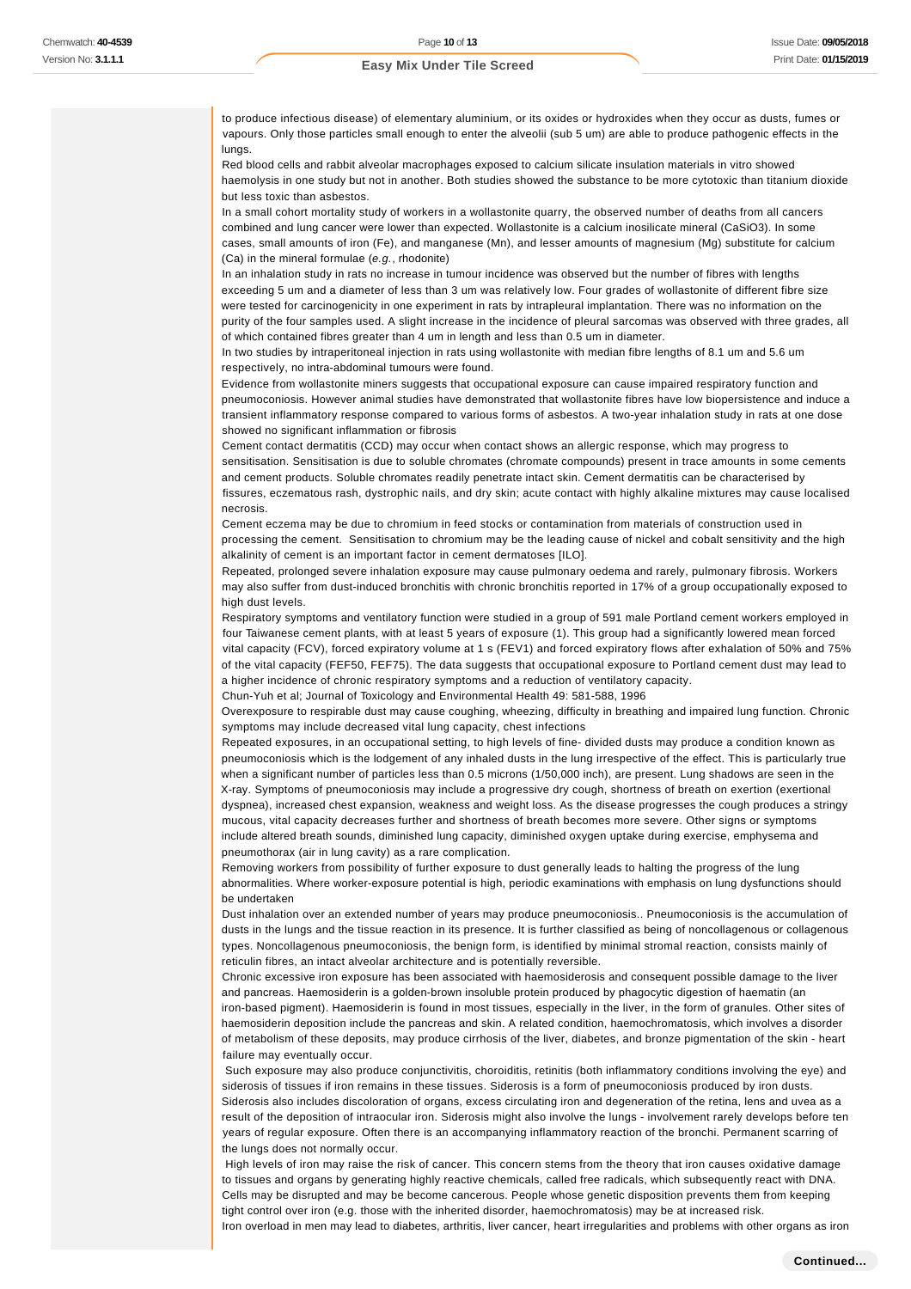to produce infectious disease) of elementary aluminium, or its oxides or hydroxides when they occur as dusts, fumes or vapours. Only those particles small enough to enter the alveolii (sub 5 um) are able to produce pathogenic effects in the lungs.

Red blood cells and rabbit alveolar macrophages exposed to calcium silicate insulation materials in vitro showed haemolysis in one study but not in another. Both studies showed the substance to be more cytotoxic than titanium dioxide but less toxic than asbestos.

In a small cohort mortality study of workers in a wollastonite quarry, the observed number of deaths from all cancers combined and lung cancer were lower than expected. Wollastonite is a calcium inosilicate mineral (CaSiO3). In some cases, small amounts of iron (Fe), and manganese (Mn), and lesser amounts of magnesium (Mg) substitute for calcium (Ca) in the mineral formulae (e.g., rhodonite)

In an inhalation study in rats no increase in tumour incidence was observed but the number of fibres with lengths exceeding 5 um and a diameter of less than 3 um was relatively low. Four grades of wollastonite of different fibre size were tested for carcinogenicity in one experiment in rats by intrapleural implantation. There was no information on the purity of the four samples used. A slight increase in the incidence of pleural sarcomas was observed with three grades, all of which contained fibres greater than 4 um in length and less than 0.5 um in diameter.

In two studies by intraperitoneal injection in rats using wollastonite with median fibre lengths of 8.1 um and 5.6 um respectively, no intra-abdominal tumours were found.

Evidence from wollastonite miners suggests that occupational exposure can cause impaired respiratory function and pneumoconiosis. However animal studies have demonstrated that wollastonite fibres have low biopersistence and induce a transient inflammatory response compared to various forms of asbestos. A two-year inhalation study in rats at one dose showed no significant inflammation or fibrosis

Cement contact dermatitis (CCD) may occur when contact shows an allergic response, which may progress to sensitisation. Sensitisation is due to soluble chromates (chromate compounds) present in trace amounts in some cements and cement products. Soluble chromates readily penetrate intact skin. Cement dermatitis can be characterised by fissures, eczematous rash, dystrophic nails, and dry skin; acute contact with highly alkaline mixtures may cause localised necrosis.

Cement eczema may be due to chromium in feed stocks or contamination from materials of construction used in processing the cement. Sensitisation to chromium may be the leading cause of nickel and cobalt sensitivity and the high alkalinity of cement is an important factor in cement dermatoses [ILO].

Repeated, prolonged severe inhalation exposure may cause pulmonary oedema and rarely, pulmonary fibrosis. Workers may also suffer from dust-induced bronchitis with chronic bronchitis reported in 17% of a group occupationally exposed to high dust levels.

Respiratory symptoms and ventilatory function were studied in a group of 591 male Portland cement workers employed in four Taiwanese cement plants, with at least 5 years of exposure (1). This group had a significantly lowered mean forced vital capacity (FCV), forced expiratory volume at 1 s (FEV1) and forced expiratory flows after exhalation of 50% and 75% of the vital capacity (FEF50, FEF75). The data suggests that occupational exposure to Portland cement dust may lead to a higher incidence of chronic respiratory symptoms and a reduction of ventilatory capacity.

Chun-Yuh et al; Journal of Toxicology and Environmental Health 49: 581-588, 1996

Overexposure to respirable dust may cause coughing, wheezing, difficulty in breathing and impaired lung function. Chronic symptoms may include decreased vital lung capacity, chest infections

Repeated exposures, in an occupational setting, to high levels of fine- divided dusts may produce a condition known as pneumoconiosis which is the lodgement of any inhaled dusts in the lung irrespective of the effect. This is particularly true when a significant number of particles less than 0.5 microns (1/50,000 inch), are present. Lung shadows are seen in the X-ray. Symptoms of pneumoconiosis may include a progressive dry cough, shortness of breath on exertion (exertional dyspnea), increased chest expansion, weakness and weight loss. As the disease progresses the cough produces a stringy mucous, vital capacity decreases further and shortness of breath becomes more severe. Other signs or symptoms include altered breath sounds, diminished lung capacity, diminished oxygen uptake during exercise, emphysema and pneumothorax (air in lung cavity) as a rare complication.

Removing workers from possibility of further exposure to dust generally leads to halting the progress of the lung abnormalities. Where worker-exposure potential is high, periodic examinations with emphasis on lung dysfunctions should be undertaken

Dust inhalation over an extended number of years may produce pneumoconiosis.. Pneumoconiosis is the accumulation of dusts in the lungs and the tissue reaction in its presence. It is further classified as being of noncollagenous or collagenous types. Noncollagenous pneumoconiosis, the benign form, is identified by minimal stromal reaction, consists mainly of reticulin fibres, an intact alveolar architecture and is potentially reversible.

Chronic excessive iron exposure has been associated with haemosiderosis and consequent possible damage to the liver and pancreas. Haemosiderin is a golden-brown insoluble protein produced by phagocytic digestion of haematin (an iron-based pigment). Haemosiderin is found in most tissues, especially in the liver, in the form of granules. Other sites of haemosiderin deposition include the pancreas and skin. A related condition, haemochromatosis, which involves a disorder of metabolism of these deposits, may produce cirrhosis of the liver, diabetes, and bronze pigmentation of the skin - heart failure may eventually occur.

 Such exposure may also produce conjunctivitis, choroiditis, retinitis (both inflammatory conditions involving the eye) and siderosis of tissues if iron remains in these tissues. Siderosis is a form of pneumoconiosis produced by iron dusts. Siderosis also includes discoloration of organs, excess circulating iron and degeneration of the retina, lens and uvea as a result of the deposition of intraocular iron. Siderosis might also involve the lungs - involvement rarely develops before ten years of regular exposure. Often there is an accompanying inflammatory reaction of the bronchi. Permanent scarring of the lungs does not normally occur.

 High levels of iron may raise the risk of cancer. This concern stems from the theory that iron causes oxidative damage to tissues and organs by generating highly reactive chemicals, called free radicals, which subsequently react with DNA. Cells may be disrupted and may be become cancerous. People whose genetic disposition prevents them from keeping tight control over iron (e.g. those with the inherited disorder, haemochromatosis) may be at increased risk.

Iron overload in men may lead to diabetes, arthritis, liver cancer, heart irregularities and problems with other organs as iron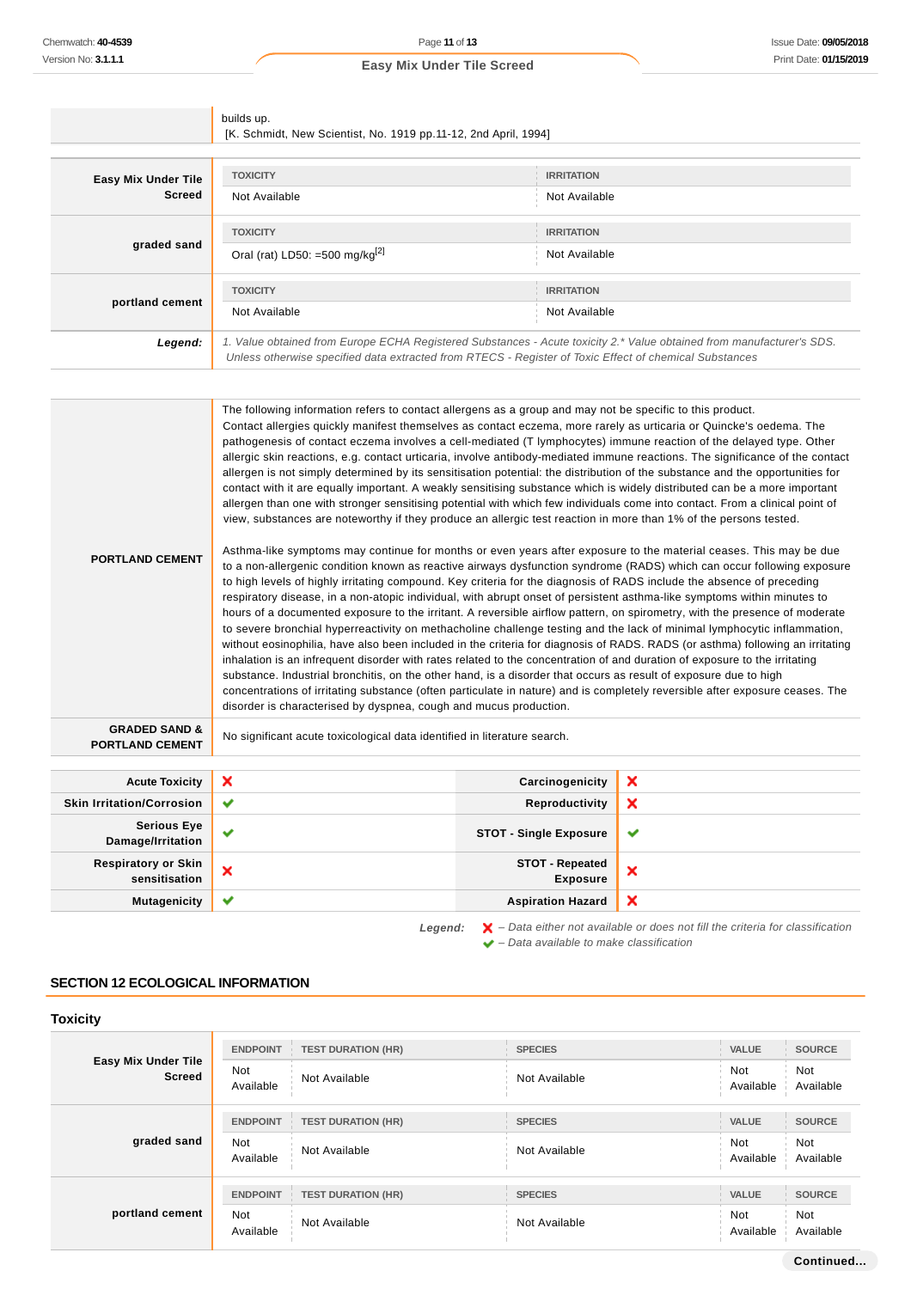|                                                    | builds up.<br>[K. Schmidt, New Scientist, No. 1919 pp.11-12, 2nd April, 1994]                                                                                                                                                                                                                                                                                                                                                                                                                                                                                                                                                                                                                                                                                                                                                                                                                                                                                                                                                                                                                                                                                                                                                                                                                                                                                                                                                                                                                                                                                                                                                                                                                                                                                                                                                                                                                                                                                                                                                                                                                                                                                                                                                                                                                                                                               |                                           |   |
|----------------------------------------------------|-------------------------------------------------------------------------------------------------------------------------------------------------------------------------------------------------------------------------------------------------------------------------------------------------------------------------------------------------------------------------------------------------------------------------------------------------------------------------------------------------------------------------------------------------------------------------------------------------------------------------------------------------------------------------------------------------------------------------------------------------------------------------------------------------------------------------------------------------------------------------------------------------------------------------------------------------------------------------------------------------------------------------------------------------------------------------------------------------------------------------------------------------------------------------------------------------------------------------------------------------------------------------------------------------------------------------------------------------------------------------------------------------------------------------------------------------------------------------------------------------------------------------------------------------------------------------------------------------------------------------------------------------------------------------------------------------------------------------------------------------------------------------------------------------------------------------------------------------------------------------------------------------------------------------------------------------------------------------------------------------------------------------------------------------------------------------------------------------------------------------------------------------------------------------------------------------------------------------------------------------------------------------------------------------------------------------------------------------------------|-------------------------------------------|---|
|                                                    |                                                                                                                                                                                                                                                                                                                                                                                                                                                                                                                                                                                                                                                                                                                                                                                                                                                                                                                                                                                                                                                                                                                                                                                                                                                                                                                                                                                                                                                                                                                                                                                                                                                                                                                                                                                                                                                                                                                                                                                                                                                                                                                                                                                                                                                                                                                                                             |                                           |   |
| <b>Easy Mix Under Tile</b>                         | <b>TOXICITY</b>                                                                                                                                                                                                                                                                                                                                                                                                                                                                                                                                                                                                                                                                                                                                                                                                                                                                                                                                                                                                                                                                                                                                                                                                                                                                                                                                                                                                                                                                                                                                                                                                                                                                                                                                                                                                                                                                                                                                                                                                                                                                                                                                                                                                                                                                                                                                             | <b>IRRITATION</b>                         |   |
| <b>Screed</b>                                      | Not Available                                                                                                                                                                                                                                                                                                                                                                                                                                                                                                                                                                                                                                                                                                                                                                                                                                                                                                                                                                                                                                                                                                                                                                                                                                                                                                                                                                                                                                                                                                                                                                                                                                                                                                                                                                                                                                                                                                                                                                                                                                                                                                                                                                                                                                                                                                                                               | Not Available                             |   |
|                                                    | <b>TOXICITY</b>                                                                                                                                                                                                                                                                                                                                                                                                                                                                                                                                                                                                                                                                                                                                                                                                                                                                                                                                                                                                                                                                                                                                                                                                                                                                                                                                                                                                                                                                                                                                                                                                                                                                                                                                                                                                                                                                                                                                                                                                                                                                                                                                                                                                                                                                                                                                             | <b>IRRITATION</b>                         |   |
| graded sand                                        | Oral (rat) LD50: =500 mg/kg <sup>[2]</sup>                                                                                                                                                                                                                                                                                                                                                                                                                                                                                                                                                                                                                                                                                                                                                                                                                                                                                                                                                                                                                                                                                                                                                                                                                                                                                                                                                                                                                                                                                                                                                                                                                                                                                                                                                                                                                                                                                                                                                                                                                                                                                                                                                                                                                                                                                                                  | Not Available                             |   |
|                                                    | <b>TOXICITY</b>                                                                                                                                                                                                                                                                                                                                                                                                                                                                                                                                                                                                                                                                                                                                                                                                                                                                                                                                                                                                                                                                                                                                                                                                                                                                                                                                                                                                                                                                                                                                                                                                                                                                                                                                                                                                                                                                                                                                                                                                                                                                                                                                                                                                                                                                                                                                             | <b>IRRITATION</b>                         |   |
| portland cement                                    | Not Available                                                                                                                                                                                                                                                                                                                                                                                                                                                                                                                                                                                                                                                                                                                                                                                                                                                                                                                                                                                                                                                                                                                                                                                                                                                                                                                                                                                                                                                                                                                                                                                                                                                                                                                                                                                                                                                                                                                                                                                                                                                                                                                                                                                                                                                                                                                                               | Not Available                             |   |
| Legend:                                            | 1. Value obtained from Europe ECHA Registered Substances - Acute toxicity 2.* Value obtained from manufacturer's SDS.<br>Unless otherwise specified data extracted from RTECS - Register of Toxic Effect of chemical Substances                                                                                                                                                                                                                                                                                                                                                                                                                                                                                                                                                                                                                                                                                                                                                                                                                                                                                                                                                                                                                                                                                                                                                                                                                                                                                                                                                                                                                                                                                                                                                                                                                                                                                                                                                                                                                                                                                                                                                                                                                                                                                                                             |                                           |   |
|                                                    |                                                                                                                                                                                                                                                                                                                                                                                                                                                                                                                                                                                                                                                                                                                                                                                                                                                                                                                                                                                                                                                                                                                                                                                                                                                                                                                                                                                                                                                                                                                                                                                                                                                                                                                                                                                                                                                                                                                                                                                                                                                                                                                                                                                                                                                                                                                                                             |                                           |   |
| <b>PORTLAND CEMENT</b>                             | The following information refers to contact allergens as a group and may not be specific to this product.<br>Contact allergies quickly manifest themselves as contact eczema, more rarely as urticaria or Quincke's oedema. The<br>pathogenesis of contact eczema involves a cell-mediated (T lymphocytes) immune reaction of the delayed type. Other<br>allergic skin reactions, e.g. contact urticaria, involve antibody-mediated immune reactions. The significance of the contact<br>allergen is not simply determined by its sensitisation potential: the distribution of the substance and the opportunities for<br>contact with it are equally important. A weakly sensitising substance which is widely distributed can be a more important<br>allergen than one with stronger sensitising potential with which few individuals come into contact. From a clinical point of<br>view, substances are noteworthy if they produce an allergic test reaction in more than 1% of the persons tested.<br>Asthma-like symptoms may continue for months or even years after exposure to the material ceases. This may be due<br>to a non-allergenic condition known as reactive airways dysfunction syndrome (RADS) which can occur following exposure<br>to high levels of highly irritating compound. Key criteria for the diagnosis of RADS include the absence of preceding<br>respiratory disease, in a non-atopic individual, with abrupt onset of persistent asthma-like symptoms within minutes to<br>hours of a documented exposure to the irritant. A reversible airflow pattern, on spirometry, with the presence of moderate<br>to severe bronchial hyperreactivity on methacholine challenge testing and the lack of minimal lymphocytic inflammation,<br>without eosinophilia, have also been included in the criteria for diagnosis of RADS. RADS (or asthma) following an irritating<br>inhalation is an infrequent disorder with rates related to the concentration of and duration of exposure to the irritating<br>substance. Industrial bronchitis, on the other hand, is a disorder that occurs as result of exposure due to high<br>concentrations of irritating substance (often particulate in nature) and is completely reversible after exposure ceases. The<br>disorder is characterised by dyspnea, cough and mucus production. |                                           |   |
| <b>GRADED SAND &amp;</b><br><b>PORTLAND CEMENT</b> | No significant acute toxicological data identified in literature search.                                                                                                                                                                                                                                                                                                                                                                                                                                                                                                                                                                                                                                                                                                                                                                                                                                                                                                                                                                                                                                                                                                                                                                                                                                                                                                                                                                                                                                                                                                                                                                                                                                                                                                                                                                                                                                                                                                                                                                                                                                                                                                                                                                                                                                                                                    |                                           |   |
| <b>Acute Toxicity</b>                              | ×                                                                                                                                                                                                                                                                                                                                                                                                                                                                                                                                                                                                                                                                                                                                                                                                                                                                                                                                                                                                                                                                                                                                                                                                                                                                                                                                                                                                                                                                                                                                                                                                                                                                                                                                                                                                                                                                                                                                                                                                                                                                                                                                                                                                                                                                                                                                                           | Carcinogenicity                           | × |
| <b>Skin Irritation/Corrosion</b>                   | ✔                                                                                                                                                                                                                                                                                                                                                                                                                                                                                                                                                                                                                                                                                                                                                                                                                                                                                                                                                                                                                                                                                                                                                                                                                                                                                                                                                                                                                                                                                                                                                                                                                                                                                                                                                                                                                                                                                                                                                                                                                                                                                                                                                                                                                                                                                                                                                           | Reproductivity                            | × |
| <b>Serious Eye</b><br>Damage/Irritation            | ✔                                                                                                                                                                                                                                                                                                                                                                                                                                                                                                                                                                                                                                                                                                                                                                                                                                                                                                                                                                                                                                                                                                                                                                                                                                                                                                                                                                                                                                                                                                                                                                                                                                                                                                                                                                                                                                                                                                                                                                                                                                                                                                                                                                                                                                                                                                                                                           | <b>STOT - Single Exposure</b>             | ✔ |
| <b>Respiratory or Skin</b><br>sensitisation        | ×                                                                                                                                                                                                                                                                                                                                                                                                                                                                                                                                                                                                                                                                                                                                                                                                                                                                                                                                                                                                                                                                                                                                                                                                                                                                                                                                                                                                                                                                                                                                                                                                                                                                                                                                                                                                                                                                                                                                                                                                                                                                                                                                                                                                                                                                                                                                                           | <b>STOT - Repeated</b><br><b>Exposure</b> | × |

**Mutagenicity Aspiration Hazard**

Legend:  $\mathsf{X}$  - Data either not available or does not fill the criteria for classification  $\blacktriangleright$  – Data available to make classification

 $\boldsymbol{\mathsf{x}}$ 

# **SECTION 12 ECOLOGICAL INFORMATION**

| <b>Toxicity</b>                      |                         |                           |                |                         |                  |
|--------------------------------------|-------------------------|---------------------------|----------------|-------------------------|------------------|
|                                      | <b>ENDPOINT</b>         | <b>TEST DURATION (HR)</b> | <b>SPECIES</b> | <b>VALUE</b>            | <b>SOURCE</b>    |
| Easy Mix Under Tile<br><b>Screed</b> | <b>Not</b><br>Available | Not Available             | Not Available  | <b>Not</b><br>Available | Not<br>Available |
|                                      | <b>ENDPOINT</b>         | <b>TEST DURATION (HR)</b> | <b>SPECIES</b> | <b>VALUE</b>            | <b>SOURCE</b>    |
| graded sand                          | <b>Not</b><br>Available | Not Available             | Not Available  | Not<br>Available        | Not<br>Available |
|                                      | <b>ENDPOINT</b>         | <b>TEST DURATION (HR)</b> | <b>SPECIES</b> | <b>VALUE</b>            | <b>SOURCE</b>    |
| portland cement                      | <b>Not</b><br>Available | Not Available             | Not Available  | Not<br>Available        | Not<br>Available |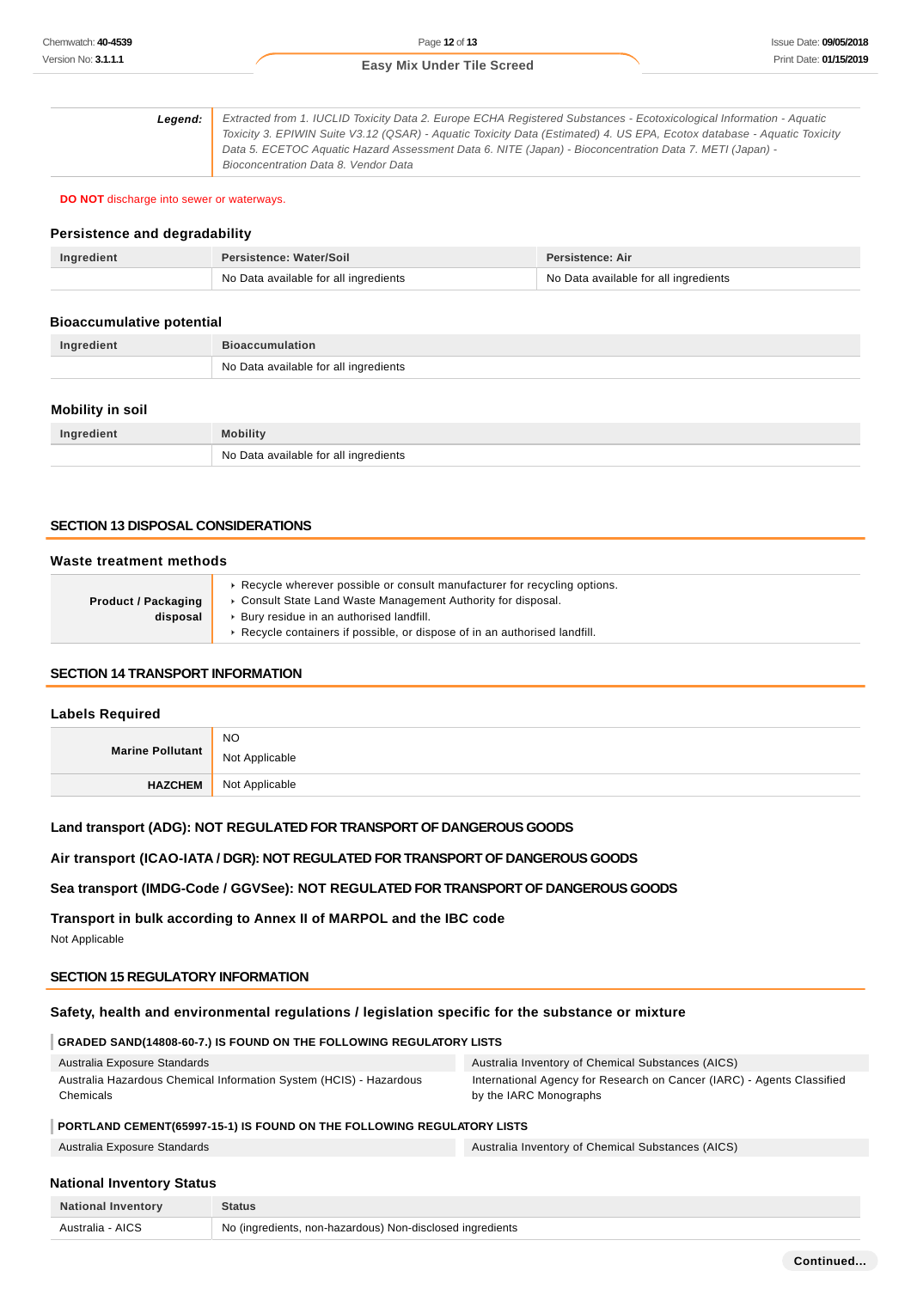**Legend:** Extracted from 1. IUCLID Toxicity Data 2. Europe ECHA Registered Substances - Ecotoxicological Information - Aquatic Toxicity 3. EPIWIN Suite V3.12 (QSAR) - Aquatic Toxicity Data (Estimated) 4. US EPA, Ecotox database - Aquatic Toxicity Data 5. ECETOC Aquatic Hazard Assessment Data 6. NITE (Japan) - Bioconcentration Data 7. METI (Japan) - Bioconcentration Data 8. Vendor Data

**DO NOT** discharge into sewer or waterways.

#### **Persistence and degradability**

| Ingredient | <b>Persistence: Water/Soil</b>        | <b>Persistence: Air</b>               |
|------------|---------------------------------------|---------------------------------------|
|            | No Data available for all ingredients | No Data available for all ingredients |

#### **Bioaccumulative potential**

| Ingredient | <b>Bioaccumulation</b>                |
|------------|---------------------------------------|
|            | No Data available for all ingredients |

#### **Mobility in soil**

| Ingredient | <b>Mobility</b>                       |
|------------|---------------------------------------|
|            | No Data available for all ingredients |

#### **SECTION 13 DISPOSAL CONSIDERATIONS**

#### **Waste treatment methods**

| <b>Product / Packaging</b><br>disposal | Recycle wherever possible or consult manufacturer for recycling options.<br>• Consult State Land Waste Management Authority for disposal.<br>Bury residue in an authorised landfill.<br>Recycle containers if possible, or dispose of in an authorised landfill. |
|----------------------------------------|------------------------------------------------------------------------------------------------------------------------------------------------------------------------------------------------------------------------------------------------------------------|
|----------------------------------------|------------------------------------------------------------------------------------------------------------------------------------------------------------------------------------------------------------------------------------------------------------------|

#### **SECTION 14 TRANSPORT INFORMATION**

#### **Labels Required**

| Marine Pollutant | <b>NO</b><br>Not Applicable |
|------------------|-----------------------------|
| <b>HAZCHEM</b>   | Not Applicable              |

## **Land transport (ADG): NOT REGULATED FOR TRANSPORT OF DANGEROUS GOODS**

#### **Air transport (ICAO-IATA / DGR): NOT REGULATED FOR TRANSPORT OF DANGEROUS GOODS**

#### **Sea transport (IMDG-Code / GGVSee): NOT REGULATED FOR TRANSPORT OF DANGEROUS GOODS**

**Transport in bulk according to Annex II of MARPOL and the IBC code**

Not Applicable

#### **SECTION 15 REGULATORY INFORMATION**

# **Safety, health and environmental regulations / legislation specific for the substance or mixture**

#### **GRADED SAND(14808-60-7.) IS FOUND ON THE FOLLOWING REGULATORY LISTS**

| Australia Exposure Standards                                       | Australia Inventory of Chemical Substances (AICS)                      |
|--------------------------------------------------------------------|------------------------------------------------------------------------|
| Australia Hazardous Chemical Information System (HCIS) - Hazardous | International Agency for Research on Cancer (IARC) - Agents Classified |
| Chemicals                                                          | by the IARC Monographs                                                 |

# **PORTLAND CEMENT(65997-15-1) IS FOUND ON THE FOLLOWING REGULATORY LISTS**

Australia Exposure Standards Australia Inventory of Chemical Substances (AICS)

# **National Inventory Status**

| <b>National Inventory</b> | <b>Status</b>                                             |
|---------------------------|-----------------------------------------------------------|
| Australia - AICS          | No (ingredients, non-hazardous) Non-disclosed ingredients |